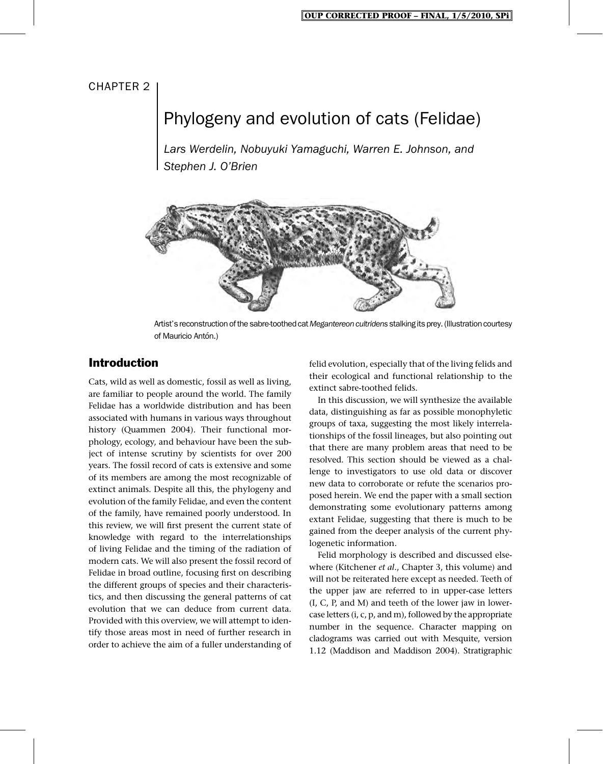# CHAPTER 2

# Phylogeny and evolution of cats (Felidae)

Lars Werdelin, Nobuyuki Yamaguchi, Warren E. Johnson, and Stephen J. O'Brien



Artist's reconstruction of the sabre-toothed cat Megantereon cultridens stalking its prey. (Illustration courtesy of Mauricio Antón.)

# Introduction

Cats, wild as well as domestic, fossil as well as living, are familiar to people around the world. The family Felidae has a worldwide distribution and has been associated with humans in various ways throughout history (Quammen 2004). Their functional morphology, ecology, and behaviour have been the subject of intense scrutiny by scientists for over 200 years. The fossil record of cats is extensive and some of its members are among the most recognizable of extinct animals. Despite all this, the phylogeny and evolution of the family Felidae, and even the content of the family, have remained poorly understood. In this review, we will first present the current state of knowledge with regard to the interrelationships of living Felidae and the timing of the radiation of modern cats. We will also present the fossil record of Felidae in broad outline, focusing first on describing the different groups of species and their characteristics, and then discussing the general patterns of cat evolution that we can deduce from current data. Provided with this overview, we will attempt to identify those areas most in need of further research in order to achieve the aim of a fuller understanding of felid evolution, especially that of the living felids and their ecological and functional relationship to the extinct sabre-toothed felids.

In this discussion, we will synthesize the available data, distinguishing as far as possible monophyletic groups of taxa, suggesting the most likely interrelationships of the fossil lineages, but also pointing out that there are many problem areas that need to be resolved. This section should be viewed as a challenge to investigators to use old data or discover new data to corroborate or refute the scenarios proposed herein. We end the paper with a small section demonstrating some evolutionary patterns among extant Felidae, suggesting that there is much to be gained from the deeper analysis of the current phylogenetic information.

Felid morphology is described and discussed elsewhere (Kitchener et al., Chapter 3, this volume) and will not be reiterated here except as needed. Teeth of the upper jaw are referred to in upper-case letters (I, C, P, and M) and teeth of the lower jaw in lowercase letters (i, c, p, and m), followed by the appropriate number in the sequence. Character mapping on cladograms was carried out with Mesquite, version 1.12 (Maddison and Maddison 2004). Stratigraphic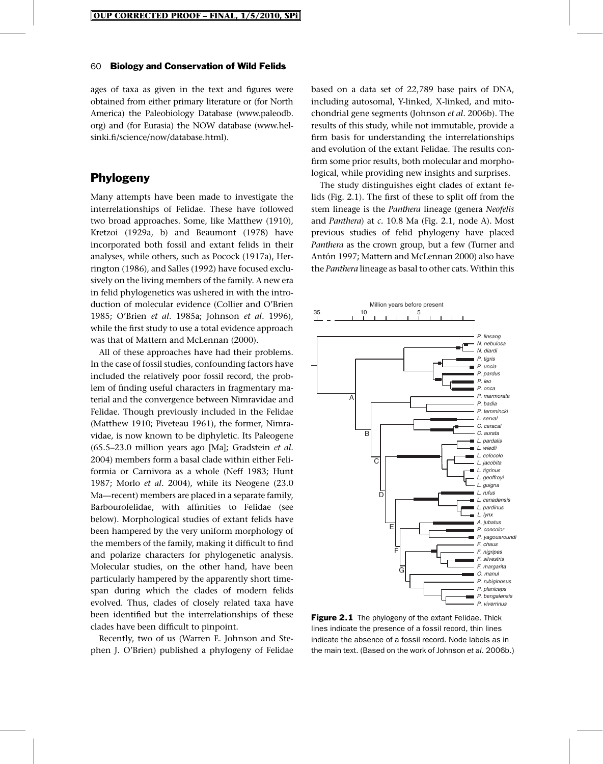ages of taxa as given in the text and figures were obtained from either primary literature or (for North America) the Paleobiology Database (www.paleodb. org) and (for Eurasia) the NOW database (www.helsinki.fi/science/now/database.html).

## Phylogeny

Many attempts have been made to investigate the interrelationships of Felidae. These have followed two broad approaches. Some, like Matthew (1910), Kretzoi (1929a, b) and Beaumont (1978) have incorporated both fossil and extant felids in their analyses, while others, such as Pocock (1917a), Herrington (1986), and Salles (1992) have focused exclusively on the living members of the family. A new era in felid phylogenetics was ushered in with the introduction of molecular evidence (Collier and O'Brien 1985; O'Brien et al. 1985a; Johnson et al. 1996), while the first study to use a total evidence approach was that of Mattern and McLennan (2000).

All of these approaches have had their problems. In the case of fossil studies, confounding factors have included the relatively poor fossil record, the problem of finding useful characters in fragmentary material and the convergence between Nimravidae and Felidae. Though previously included in the Felidae (Matthew 1910; Piveteau 1961), the former, Nimravidae, is now known to be diphyletic. Its Paleogene (65.5–23.0 million years ago [Ma]; Gradstein et al. 2004) members form a basal clade within either Feliformia or Carnivora as a whole (Neff 1983; Hunt 1987; Morlo et al. 2004), while its Neogene (23.0 Ma—recent) members are placed in a separate family, Barbourofelidae, with affinities to Felidae (see below). Morphological studies of extant felids have been hampered by the very uniform morphology of the members of the family, making it difficult to find and polarize characters for phylogenetic analysis. Molecular studies, on the other hand, have been particularly hampered by the apparently short timespan during which the clades of modern felids evolved. Thus, clades of closely related taxa have been identified but the interrelationships of these clades have been difficult to pinpoint.

Recently, two of us (Warren E. Johnson and Stephen J. O'Brien) published a phylogeny of Felidae based on a data set of 22,789 base pairs of DNA, including autosomal, Y-linked, X-linked, and mitochondrial gene segments (Johnson et al. 2006b). The results of this study, while not immutable, provide a firm basis for understanding the interrelationships and evolution of the extant Felidae. The results confirm some prior results, both molecular and morphological, while providing new insights and surprises.

The study distinguishes eight clades of extant felids (Fig. 2.1). The first of these to split off from the stem lineage is the Panthera lineage (genera Neofelis and Panthera) at  $c$ . 10.8 Ma (Fig. 2.1, node A). Most previous studies of felid phylogeny have placed Panthera as the crown group, but a few (Turner and Antón 1997; Mattern and McLennan 2000) also have the Panthera lineage as basal to other cats. Within this



**Figure 2.1** The phylogeny of the extant Felidae. Thick lines indicate the presence of a fossil record, thin lines indicate the absence of a fossil record. Node labels as in the main text. (Based on the work of Johnson et al. 2006b.)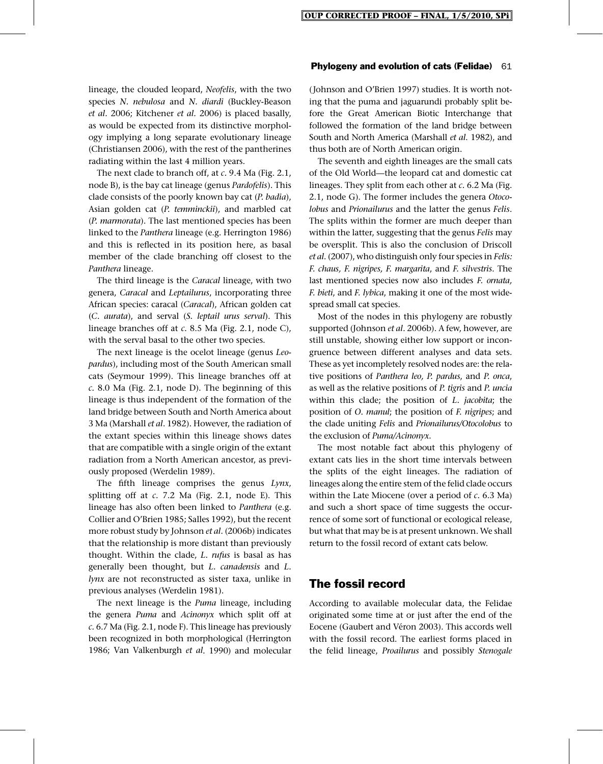lineage, the clouded leopard, Neofelis, with the two species N. nebulosa and N. diardi (Buckley-Beason et al. 2006; Kitchener et al. 2006) is placed basally, as would be expected from its distinctive morphology implying a long separate evolutionary lineage (Christiansen 2006), with the rest of the pantherines radiating within the last 4 million years.

The next clade to branch off, at c. 9.4 Ma (Fig. 2.1, node B), is the bay cat lineage (genus Pardofelis). This clade consists of the poorly known bay cat (P. badia), Asian golden cat (P. temminckii), and marbled cat (P. marmorata). The last mentioned species has been linked to the Panthera lineage (e.g. Herrington 1986) and this is reflected in its position here, as basal member of the clade branching off closest to the Panthera lineage.

The third lineage is the Caracal lineage, with two genera, Caracal and Leptailurus, incorporating three African species: caracal (Caracal), African golden cat (C. aurata), and serval (S. leptail urus serval). This lineage branches off at c. 8.5 Ma (Fig. 2.1, node C), with the serval basal to the other two species.

The next lineage is the ocelot lineage (genus Leopardus), including most of the South American small cats (Seymour 1999). This lineage branches off at  $c. 8.0$  Ma (Fig. 2.1, node D). The beginning of this lineage is thus independent of the formation of the land bridge between South and North America about 3 Ma (Marshall et al. 1982). However, the radiation of the extant species within this lineage shows dates that are compatible with a single origin of the extant radiation from a North American ancestor, as previously proposed (Werdelin 1989).

The fifth lineage comprises the genus Lynx, splitting off at  $c$ . 7.2 Ma (Fig. 2.1, node E). This lineage has also often been linked to Panthera (e.g. Collier and O'Brien 1985; Salles 1992), but the recent more robust study by Johnson et al. (2006b) indicates that the relationship is more distant than previously thought. Within the clade, L. rufus is basal as has generally been thought, but L. canadensis and L. lynx are not reconstructed as sister taxa, unlike in previous analyses (Werdelin 1981).

The next lineage is the Puma lineage, including the genera Puma and Acinonyx which split off at c. 6.7 Ma (Fig. 2.1, node F). This lineage has previously been recognized in both morphological (Herrington 1986; Van Valkenburgh et al. 1990) and molecular ( Johnson and O'Brien 1997) studies. It is worth noting that the puma and jaguarundi probably split before the Great American Biotic Interchange that followed the formation of the land bridge between South and North America (Marshall et al. 1982), and thus both are of North American origin.

The seventh and eighth lineages are the small cats of the Old World—the leopard cat and domestic cat lineages. They split from each other at  $c$ . 6.2 Ma (Fig. 2.1, node G). The former includes the genera Otocolobus and Prionailurus and the latter the genus Felis. The splits within the former are much deeper than within the latter, suggesting that the genus Felis may be oversplit. This is also the conclusion of Driscoll et al. (2007), who distinguish only four species in Felis: F. chaus, F. nigripes, F. margarita, and F. silvestris. The last mentioned species now also includes F. ornata, F. bieti, and F. lybica, making it one of the most widespread small cat species.

Most of the nodes in this phylogeny are robustly supported (Johnson et al. 2006b). A few, however, are still unstable, showing either low support or incongruence between different analyses and data sets. These as yet incompletely resolved nodes are: the relative positions of Panthera leo, P. pardus, and P. onca, as well as the relative positions of P. tigris and P. uncia within this clade; the position of L. jacobita; the position of O. manul; the position of F. nigripes; and the clade uniting Felis and Prionailurus/Otocolobus to the exclusion of Puma/Acinonyx.

The most notable fact about this phylogeny of extant cats lies in the short time intervals between the splits of the eight lineages. The radiation of lineages along the entire stem of the felid clade occurs within the Late Miocene (over a period of  $c$ . 6.3 Ma) and such a short space of time suggests the occurrence of some sort of functional or ecological release, but what that may be is at present unknown. We shall return to the fossil record of extant cats below.

# The fossil record

According to available molecular data, the Felidae originated some time at or just after the end of the Eocene (Gaubert and Véron 2003). This accords well with the fossil record. The earliest forms placed in the felid lineage, Proailurus and possibly Stenogale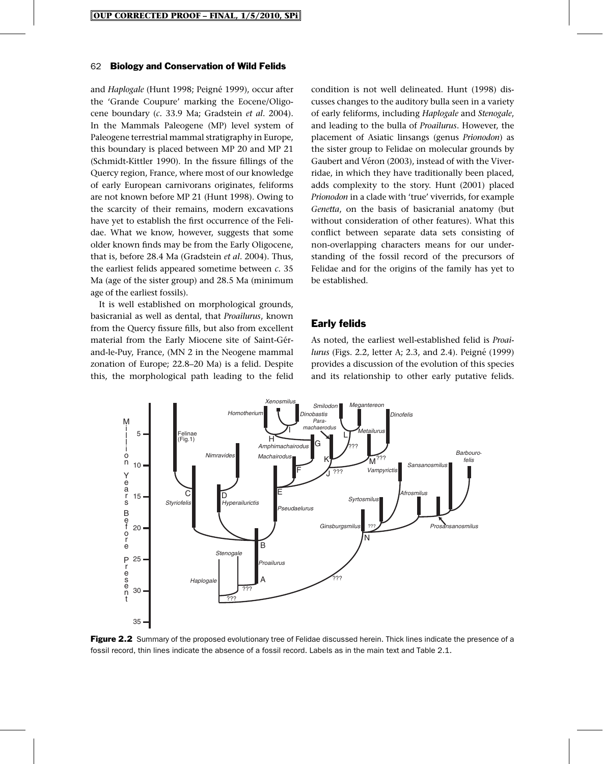and Haplogale (Hunt 1998; Peigné 1999), occur after the 'Grande Coupure' marking the Eocene/Oligocene boundary (c. 33.9 Ma; Gradstein et al. 2004). In the Mammals Paleogene (MP) level system of Paleogene terrestrial mammal stratigraphy in Europe, this boundary is placed between MP 20 and MP 21 (Schmidt-Kittler 1990). In the fissure fillings of the Quercy region, France, where most of our knowledge of early European carnivorans originates, feliforms are not known before MP 21 (Hunt 1998). Owing to the scarcity of their remains, modern excavations have yet to establish the first occurrence of the Felidae. What we know, however, suggests that some older known finds may be from the Early Oligocene, that is, before 28.4 Ma (Gradstein et al. 2004). Thus, the earliest felids appeared sometime between  $c$ . 35 Ma (age of the sister group) and 28.5 Ma (minimum age of the earliest fossils).

It is well established on morphological grounds, basicranial as well as dental, that Proailurus, known from the Quercy fissure fills, but also from excellent material from the Early Miocene site of Saint-Gérand-le-Puy, France, (MN 2 in the Neogene mammal zonation of Europe; 22.8–20 Ma) is a felid. Despite this, the morphological path leading to the felid condition is not well delineated. Hunt (1998) discusses changes to the auditory bulla seen in a variety of early feliforms, including Haplogale and Stenogale, and leading to the bulla of Proailurus. However, the placement of Asiatic linsangs (genus Prionodon) as the sister group to Felidae on molecular grounds by Gaubert and Véron (2003), instead of with the Viverridae, in which they have traditionally been placed, adds complexity to the story. Hunt (2001) placed Prionodon in a clade with 'true' viverrids, for example Genetta, on the basis of basicranial anatomy (but without consideration of other features). What this conflict between separate data sets consisting of non-overlapping characters means for our understanding of the fossil record of the precursors of Felidae and for the origins of the family has yet to be established.

## Early felids

As noted, the earliest well-established felid is Proailurus (Figs. 2.2, letter A; 2.3, and 2.4). Peigné (1999) provides a discussion of the evolution of this species and its relationship to other early putative felids.



Figure 2.2 Summary of the proposed evolutionary tree of Felidae discussed herein. Thick lines indicate the presence of a fossil record, thin lines indicate the absence of a fossil record. Labels as in the main text and Table 2.1.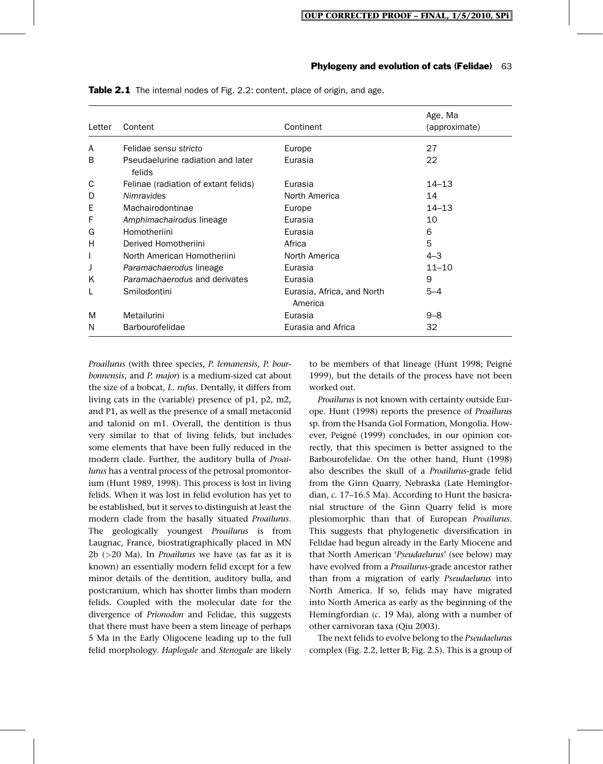| Letter | Content                                     | Continent                             | Age, Ma<br>(approximate) |
|--------|---------------------------------------------|---------------------------------------|--------------------------|
| A      | Felidae sensu stricto                       | Europe                                | 27                       |
| B      | Pseudaelurine radiation and later<br>felids | Eurasia                               | 22                       |
| C      | Felinae (radiation of extant felids)        | Eurasia                               | $14 - 13$                |
| D      | Nimravides                                  | North America                         | 14                       |
| Ε      | Machairodontinae                            | Europe                                | $14 - 13$                |
| F      | Amphimachairodus lineage                    | Eurasia                               | 10                       |
| G      | Homotheriini                                | Eurasia                               | 6                        |
| H      | Derived Homotheriini                        | Africa                                | 5                        |
| I      | North American Homotheriini                 | North America                         | $4 - 3$                  |
| J      | Paramachaerodus lineage                     | Eurasia                               | $11 - 10$                |
| K      | Paramachaerodus and derivates               | Eurasia                               | 9                        |
|        | Smilodontini                                | Eurasia, Africa, and North<br>America | $5 - 4$                  |
| M      | Metailurini                                 | Eurasia                               | $9 - 8$                  |
| N      | Barbourofelidae                             | Eurasia and Africa                    | 32                       |

**Table 2.1** The internal nodes of Fig. 2.2: content, place of origin, and age.

Proailurus (with three species, P. lemanensis, P. bourbonnensis, and P. major) is a medium-sized cat about the size of a bobcat, L. rufus. Dentally, it differs from living cats in the (variable) presence of p1, p2, m2, and P1, as well as the presence of a small metaconid and talonid on m1. Overall, the dentition is thus very similar to that of living felids, but includes some elements that have been fully reduced in the modern clade. Further, the auditory bulla of Proailurus has a ventral process of the petrosal promontorium (Hunt 1989, 1998). This process is lost in living felids. When it was lost in felid evolution has yet to be established, but it serves to distinguish at least the modern clade from the basally situated Proailurus. The geologically youngest Proailurus is from Laugnac, France, biostratigraphically placed in MN  $2b$  ( $>$ 20 Ma). In *Proailurus* we have (as far as it is known) an essentially modern felid except for a few minor details of the dentition, auditory bulla, and postcranium, which has shorter limbs than modern felids. Coupled with the molecular date for the divergence of Prionodon and Felidae, this suggests that there must have been a stem lineage of perhaps 5 Ma in the Early Oligocene leading up to the full felid morphology. Haplogale and Stenogale are likely to be members of that lineage (Hunt 1998; Peigné 1999), but the details of the process have not been worked out.

Proailurus is not known with certainty outside Europe. Hunt (1998) reports the presence of Proailurus sp. from the Hsanda Gol Formation, Mongolia. However, Peigné (1999) concludes, in our opinion correctly, that this specimen is better assigned to the Barbourofelidae. On the other hand, Hunt (1998) also describes the skull of a Proailurus-grade felid from the Ginn Quarry, Nebraska (Late Hemingfordian, c. 17–16.5 Ma). According to Hunt the basicranial structure of the Ginn Quarry felid is more plesiomorphic than that of European Proailurus. This suggests that phylogenetic diversification in Felidae had begun already in the Early Miocene and that North American 'Pseudaelurus' (see below) may have evolved from a Proailurus-grade ancestor rather than from a migration of early Pseudaelurus into North America. If so, felids may have migrated into North America as early as the beginning of the Hemingfordian (c. 19 Ma), along with a number of other carnivoran taxa (Qiu 2003).

The next felids to evolve belong to the Pseudaelurus complex (Fig. 2.2, letter B; Fig. 2.5). This is a group of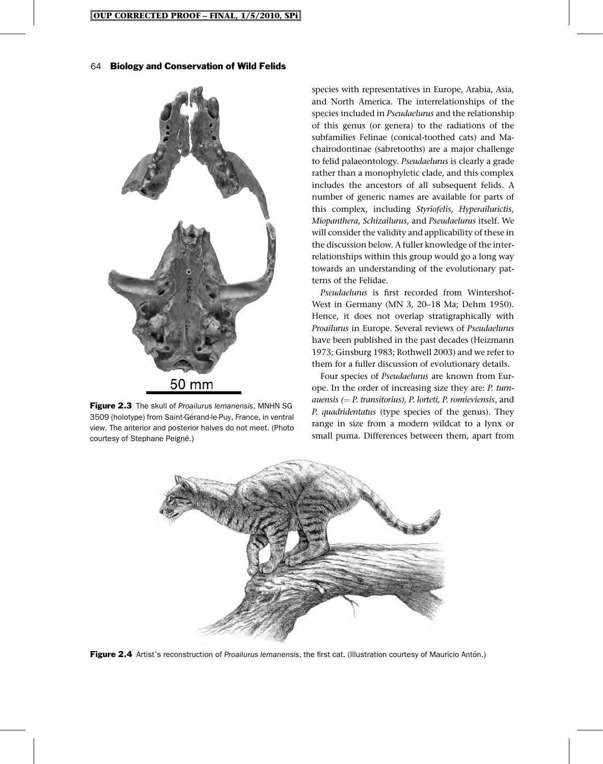

Figure 2.3 The skull of Proailurus lemanensis, MNHN SG 3509 (holotype) from Saint-Gérand-le-Puy, France, in ventral view. The anterior and posterior halves do not meet. (Photo courtesy of Stephane Peigné.)

species with representatives in Europe, Arabia, Asia, and North America. The interrelationships of the species included in Pseudaelurus and the relationship of this genus (or genera) to the radiations of the subfamilies Felinae (conical-toothed cats) and Machairodontinae (sabretooths) are a major challenge to felid palaeontology. Pseudaelurus is clearly a grade rather than a monophyletic clade, and this complex includes the ancestors of all subsequent felids. A number of generic names are available for parts of this complex, including Styriofelis, Hyperailurictis, Miopanthera, Schizailurus, and Pseudaelurus itself. We will consider the validity and applicability of these in the discussion below. A fuller knowledge of the interrelationships within this group would go a long way towards an understanding of the evolutionary patterns of the Felidae.

Pseudaelurus is first recorded from Wintershof-West in Germany (MN 3, 20–18 Ma; Dehm 1950). Hence, it does not overlap stratigraphically with Proailurus in Europe. Several reviews of Pseudaelurus have been published in the past decades (Heizmann 1973; Ginsburg 1983; Rothwell 2003) and we refer to them for a fuller discussion of evolutionary details.

Four species of Pseudaelurus are known from Europe. In the order of increasing size they are: P. turnauensis ( $= P$ . transitorius), P. lorteti, P. romieviensis, and P. quadridentatus (type species of the genus). They range in size from a modern wildcat to a lynx or small puma. Differences between them, apart from



Figure 2.4 Artist's reconstruction of Proailurus lemanensis, the first cat. (Illustration courtesy of Mauricio Antón.)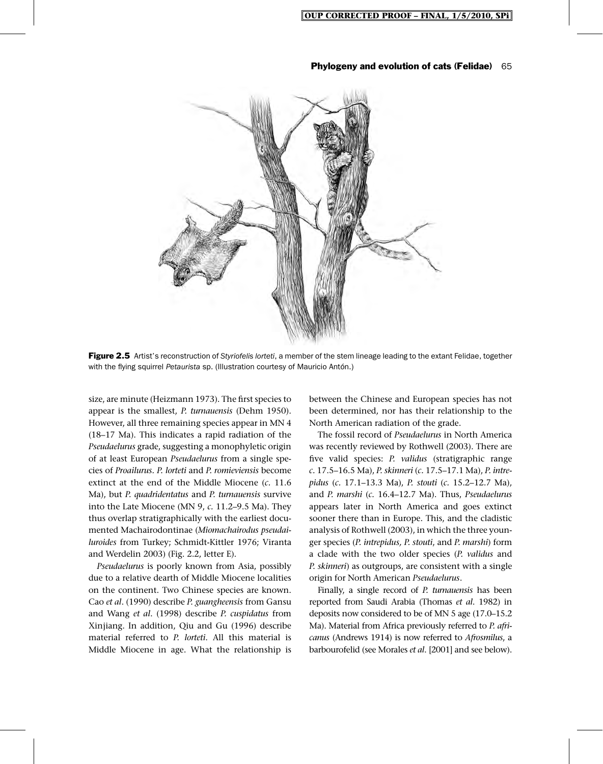

Figure 2.5 Artist's reconstruction of Styriofelis lorteti, a member of the stem lineage leading to the extant Felidae, together with the flying squirrel Petaurista sp. (Illustration courtesy of Mauricio Antón.)

size, are minute (Heizmann 1973). The first species to appear is the smallest, P. turnauensis (Dehm 1950). However, all three remaining species appear in MN 4 (18–17 Ma). This indicates a rapid radiation of the Pseudaelurus grade, suggesting a monophyletic origin of at least European Pseudaelurus from a single species of Proailurus. P. lorteti and P. romieviensis become extinct at the end of the Middle Miocene (c. 11.6) Ma), but P. quadridentatus and P. turnauensis survive into the Late Miocene (MN 9, c. 11.2–9.5 Ma). They thus overlap stratigraphically with the earliest documented Machairodontinae (Miomachairodus pseudailuroides from Turkey; Schmidt-Kittler 1976; Viranta and Werdelin 2003) (Fig. 2.2, letter E).

Pseudaelurus is poorly known from Asia, possibly due to a relative dearth of Middle Miocene localities on the continent. Two Chinese species are known. Cao et al. (1990) describe P. guangheensis from Gansu and Wang et al. (1998) describe P. cuspidatus from Xinjiang. In addition, Qiu and Gu (1996) describe material referred to P. lorteti. All this material is Middle Miocene in age. What the relationship is between the Chinese and European species has not been determined, nor has their relationship to the North American radiation of the grade.

The fossil record of Pseudaelurus in North America was recently reviewed by Rothwell (2003). There are five valid species: P. validus (stratigraphic range c. 17.5–16.5 Ma), P. skinneri (c. 17.5–17.1 Ma), P. intrepidus (c. 17.1–13.3 Ma), P. stouti (c. 15.2–12.7 Ma), and P. marshi (c. 16.4–12.7 Ma). Thus, Pseudaelurus appears later in North America and goes extinct sooner there than in Europe. This, and the cladistic analysis of Rothwell (2003), in which the three younger species (P. intrepidus, P. stouti, and P. marshi) form a clade with the two older species (P. validus and P. skinneri) as outgroups, are consistent with a single origin for North American Pseudaelurus.

Finally, a single record of P. turnauensis has been reported from Saudi Arabia (Thomas et al. 1982) in deposits now considered to be of MN 5 age (17.0–15.2 Ma). Material from Africa previously referred to P. africanus (Andrews 1914) is now referred to Afrosmilus, a barbourofelid (see Morales et al. [2001] and see below).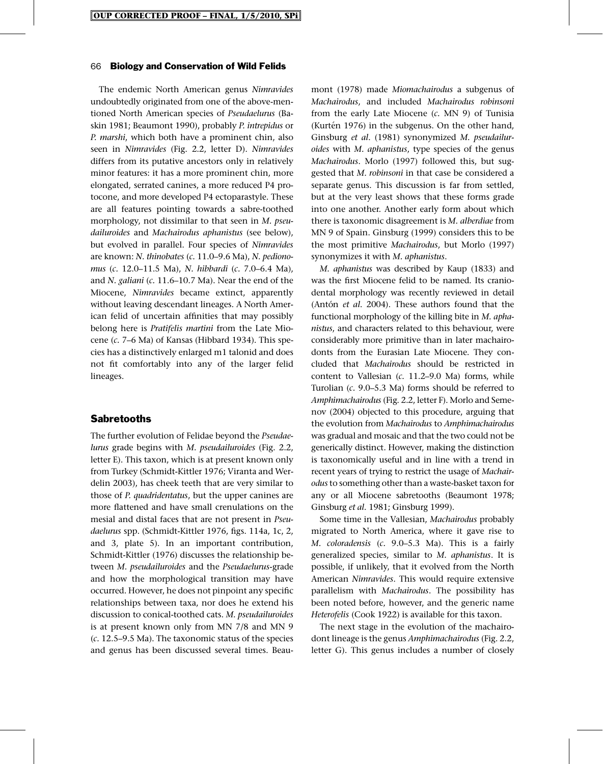The endemic North American genus Nimravides undoubtedly originated from one of the above-mentioned North American species of Pseudaelurus (Baskin 1981; Beaumont 1990), probably P. intrepidus or P. marshi, which both have a prominent chin, also seen in Nimravides (Fig. 2.2, letter D). Nimravides differs from its putative ancestors only in relatively minor features: it has a more prominent chin, more elongated, serrated canines, a more reduced P4 protocone, and more developed P4 ectoparastyle. These are all features pointing towards a sabre-toothed morphology, not dissimilar to that seen in M. pseudailuroides and Machairodus aphanistus (see below), but evolved in parallel. Four species of Nimravides are known: N. thinobates (c. 11.0–9.6 Ma), N. pedionomus (c. 12.0–11.5 Ma), N. hibbardi (c. 7.0–6.4 Ma), and N. galiani (c. 11.6–10.7 Ma). Near the end of the Miocene, Nimravides became extinct, apparently without leaving descendant lineages. A North American felid of uncertain affinities that may possibly belong here is Pratifelis martini from the Late Miocene (c. 7–6 Ma) of Kansas (Hibbard 1934). This species has a distinctively enlarged m1 talonid and does not fit comfortably into any of the larger felid lineages.

## **Sabretooths**

The further evolution of Felidae beyond the Pseudaelurus grade begins with M. pseudailuroides (Fig. 2.2, letter E). This taxon, which is at present known only from Turkey (Schmidt-Kittler 1976; Viranta and Werdelin 2003), has cheek teeth that are very similar to those of P. quadridentatus, but the upper canines are more flattened and have small crenulations on the mesial and distal faces that are not present in Pseudaelurus spp. (Schmidt-Kittler 1976, figs. 114a, 1c, 2, and 3, plate 5). In an important contribution, Schmidt-Kittler (1976) discusses the relationship between M. pseudailuroides and the Pseudaelurus-grade and how the morphological transition may have occurred. However, he does not pinpoint any specific relationships between taxa, nor does he extend his discussion to conical-toothed cats. M. pseudailuroides is at present known only from MN 7/8 and MN 9 (c. 12.5–9.5 Ma). The taxonomic status of the species and genus has been discussed several times. Beaumont (1978) made Miomachairodus a subgenus of Machairodus, and included Machairodus robinsoni from the early Late Miocene (c. MN 9) of Tunisia (Kurtén 1976) in the subgenus. On the other hand, Ginsburg et al. (1981) synonymized M. pseudailuroides with M. aphanistus, type species of the genus Machairodus. Morlo (1997) followed this, but suggested that M. robinsoni in that case be considered a separate genus. This discussion is far from settled, but at the very least shows that these forms grade into one another. Another early form about which there is taxonomic disagreement is M. alberdiae from MN 9 of Spain. Ginsburg (1999) considers this to be the most primitive Machairodus, but Morlo (1997) synonymizes it with M. aphanistus.

M. aphanistus was described by Kaup (1833) and was the first Miocene felid to be named. Its craniodental morphology was recently reviewed in detail (Antón et al. 2004). These authors found that the functional morphology of the killing bite in M. aphanistus, and characters related to this behaviour, were considerably more primitive than in later machairodonts from the Eurasian Late Miocene. They concluded that Machairodus should be restricted in content to Vallesian (c. 11.2–9.0 Ma) forms, while Turolian (c. 9.0–5.3 Ma) forms should be referred to Amphimachairodus (Fig. 2.2, letter F). Morlo and Semenov (2004) objected to this procedure, arguing that the evolution from Machairodus to Amphimachairodus was gradual and mosaic and that the two could not be generically distinct. However, making the distinction is taxonomically useful and in line with a trend in recent years of trying to restrict the usage of Machairodus to something other than a waste-basket taxon for any or all Miocene sabretooths (Beaumont 1978; Ginsburg et al. 1981; Ginsburg 1999).

Some time in the Vallesian, Machairodus probably migrated to North America, where it gave rise to M. coloradensis (c. 9.0–5.3 Ma). This is a fairly generalized species, similar to M. aphanistus. It is possible, if unlikely, that it evolved from the North American Nimravides. This would require extensive parallelism with Machairodus. The possibility has been noted before, however, and the generic name Heterofelis (Cook 1922) is available for this taxon.

The next stage in the evolution of the machairodont lineage is the genus Amphimachairodus (Fig. 2.2, letter G). This genus includes a number of closely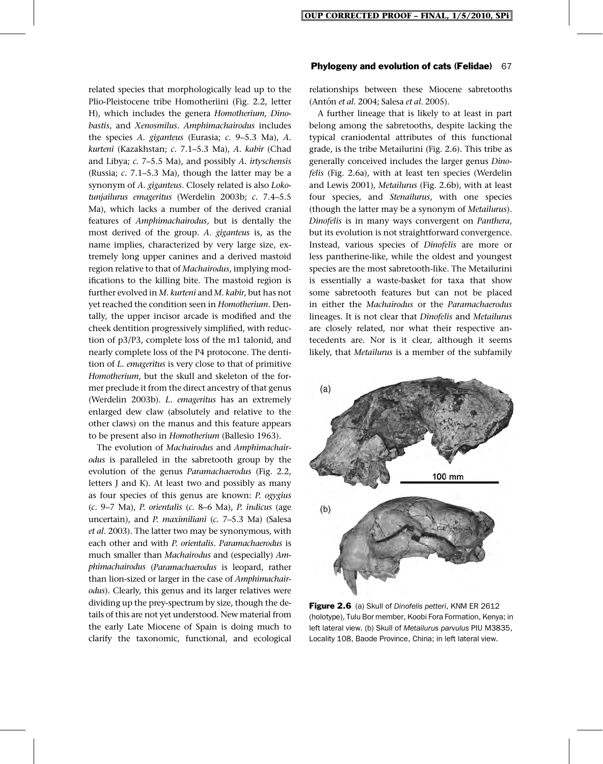related species that morphologically lead up to the Plio-Pleistocene tribe Homotheriini (Fig. 2.2, letter H), which includes the genera Homotherium, Dinobastis, and Xenosmilus. Amphimachairodus includes the species A. giganteus (Eurasia; c. 9–5.3 Ma), A. kurteni (Kazakhstan; c. 7.1–5.3 Ma), A. kabir (Chad and Libya; c. 7–5.5 Ma), and possibly A. irtyschensis (Russia;  $c$ , 7.1–5.3 Ma), though the latter may be a synonym of A. giganteus. Closely related is also Lokotunjailurus emageritus (Werdelin 2003b; c. 7.4–5.5 Ma), which lacks a number of the derived cranial features of Amphimachairodus, but is dentally the most derived of the group. A. giganteus is, as the name implies, characterized by very large size, extremely long upper canines and a derived mastoid region relative to that of Machairodus, implying modifications to the killing bite. The mastoid region is further evolved in M. kurteni and M. kabir, but has not yet reached the condition seen in Homotherium. Dentally, the upper incisor arcade is modified and the cheek dentition progressively simplified, with reduction of p3/P3, complete loss of the m1 talonid, and nearly complete loss of the P4 protocone. The dentition of L. emageritus is very close to that of primitive Homotherium, but the skull and skeleton of the former preclude it from the direct ancestry of that genus (Werdelin 2003b). L. emageritus has an extremely enlarged dew claw (absolutely and relative to the other claws) on the manus and this feature appears to be present also in Homotherium (Ballesio 1963).

The evolution of Machairodus and Amphimachairodus is paralleled in the sabretooth group by the evolution of the genus Paramachaerodus (Fig. 2.2, letters J and K). At least two and possibly as many as four species of this genus are known: P. ogygius (c. 9–7 Ma), P. orientalis (c. 8–6 Ma), P. indicus (age uncertain), and P. maximiliani (c. 7–5.3 Ma) (Salesa et al. 2003). The latter two may be synonymous, with each other and with P. orientalis. Paramachaerodus is much smaller than Machairodus and (especially) Amphimachairodus (Paramachaerodus is leopard, rather than lion-sized or larger in the case of Amphimachairodus). Clearly, this genus and its larger relatives were dividing up the prey-spectrum by size, though the details of this are not yet understood. New material from the early Late Miocene of Spain is doing much to clarify the taxonomic, functional, and ecological relationships between these Miocene sabretooths (Antón et al. 2004; Salesa et al. 2005).

A further lineage that is likely to at least in part belong among the sabretooths, despite lacking the typical craniodental attributes of this functional grade, is the tribe Metailurini (Fig. 2.6). This tribe as generally conceived includes the larger genus Dinofelis (Fig. 2.6a), with at least ten species (Werdelin and Lewis 2001), Metailurus (Fig. 2.6b), with at least four species, and Stenailurus, with one species (though the latter may be a synonym of Metailurus). Dinofelis is in many ways convergent on Panthera, but its evolution is not straightforward convergence. Instead, various species of Dinofelis are more or less pantherine-like, while the oldest and youngest species are the most sabretooth-like. The Metailurini is essentially a waste-basket for taxa that show some sabretooth features but can not be placed in either the Machairodus or the Paramachaerodus lineages. It is not clear that Dinofelis and Metailurus are closely related, nor what their respective antecedents are. Nor is it clear, although it seems likely, that Metailurus is a member of the subfamily



Figure 2.6 (a) Skull of Dinofelis petteri, KNM ER 2612 (holotype), Tulu Bor member, Koobi Fora Formation, Kenya; in left lateral view. (b) Skull of Metailurus parvulus PIU M3835, Locality 108, Baode Province, China; in left lateral view.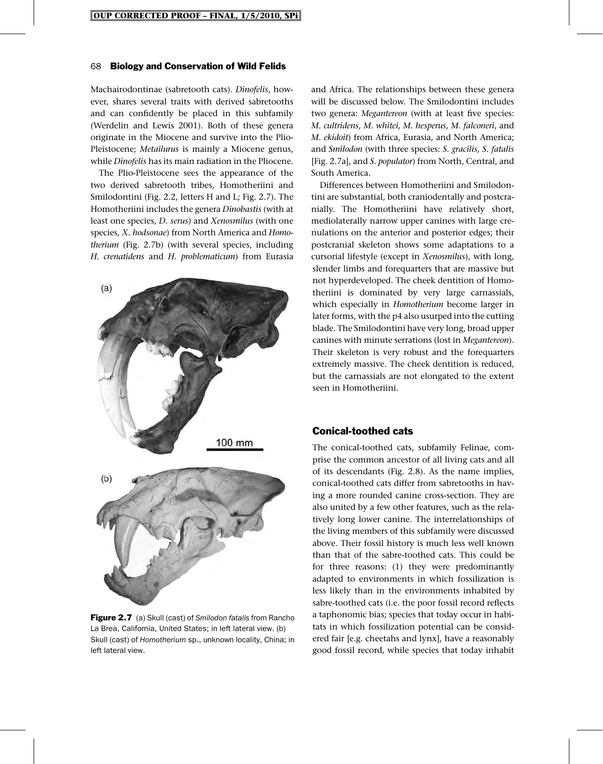Machairodontinae (sabretooth cats). Dinofelis, however, shares several traits with derived sabretooths and can confidently be placed in this subfamily (Werdelin and Lewis 2001). Both of these genera originate in the Miocene and survive into the Plio-Pleistocene; Metailurus is mainly a Miocene genus, while Dinofelis has its main radiation in the Pliocene.

The Plio-Pleistocene sees the appearance of the two derived sabretooth tribes, Homotheriini and Smilodontini (Fig. 2.2, letters H and L; Fig. 2.7). The Homotheriini includes the genera Dinobastis (with at least one species, D. serus) and Xenosmilus (with one species, X. hodsonae) from North America and Homotherium (Fig. 2.7b) (with several species, including H. crenatidens and H. problematicum) from Eurasia



**Figure 2.7** (a) Skull (cast) of Smilodon fatalis from Rancho La Brea, California, United States; in left lateral view. (b) Skull (cast) of Homotherium sp., unknown locality, China; in left lateral view.

and Africa. The relationships between these genera will be discussed below. The Smilodontini includes two genera: Megantereon (with at least five species: M. cultridens, M. whitei, M. hesperus, M. falconeri, and M. ekidoit) from Africa, Eurasia, and North America; and Smilodon (with three species: S. gracilis, S. fatalis [Fig. 2.7a], and S. populator) from North, Central, and South America.

Differences between Homotheriini and Smilodontini are substantial, both craniodentally and postcranially. The Homotheriini have relatively short, mediolaterally narrow upper canines with large crenulations on the anterior and posterior edges; their postcranial skeleton shows some adaptations to a cursorial lifestyle (except in Xenosmilus), with long, slender limbs and forequarters that are massive but not hyperdeveloped. The cheek dentition of Homotheriini is dominated by very large carnassials, which especially in Homotherium become larger in later forms, with the p4 also usurped into the cutting blade. The Smilodontini have very long, broad upper canines with minute serrations (lost in Megantereon). Their skeleton is very robust and the forequarters extremely massive. The cheek dentition is reduced, but the carnassials are not elongated to the extent seen in Homotheriini.

## Conical-toothed cats

The conical-toothed cats, subfamily Felinae, comprise the common ancestor of all living cats and all of its descendants (Fig. 2.8). As the name implies, conical-toothed cats differ from sabretooths in having a more rounded canine cross-section. They are also united by a few other features, such as the relatively long lower canine. The interrelationships of the living members of this subfamily were discussed above. Their fossil history is much less well known than that of the sabre-toothed cats. This could be for three reasons: (1) they were predominantly adapted to environments in which fossilization is less likely than in the environments inhabited by sabre-toothed cats (i.e. the poor fossil record reflects a taphonomic bias; species that today occur in habitats in which fossilization potential can be considered fair [e.g. cheetahs and lynx], have a reasonably good fossil record, while species that today inhabit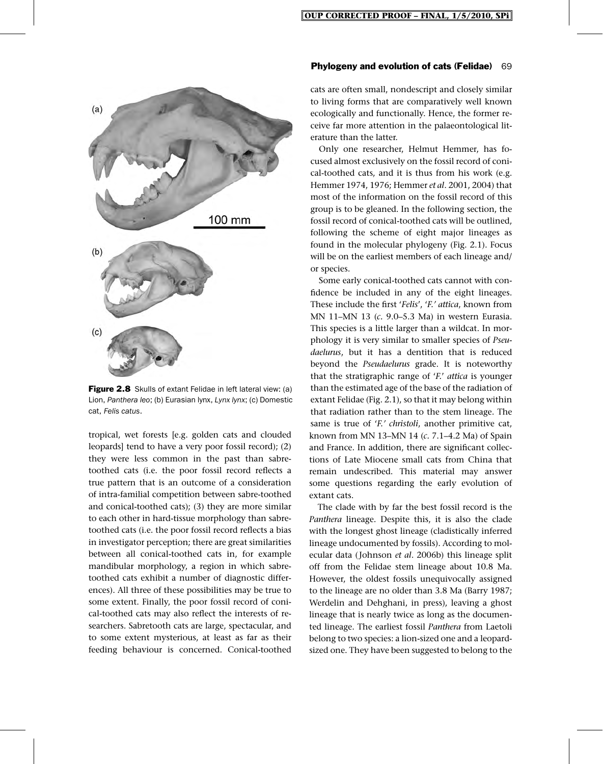

**Figure 2.8** Skulls of extant Felidae in left lateral view: (a) Lion, Panthera leo; (b) Eurasian lynx, Lynx lynx; (c) Domestic cat, Felis catus.

tropical, wet forests [e.g. golden cats and clouded leopards] tend to have a very poor fossil record); (2) they were less common in the past than sabretoothed cats (i.e. the poor fossil record reflects a true pattern that is an outcome of a consideration of intra-familial competition between sabre-toothed and conical-toothed cats); (3) they are more similar to each other in hard-tissue morphology than sabretoothed cats (i.e. the poor fossil record reflects a bias in investigator perception; there are great similarities between all conical-toothed cats in, for example mandibular morphology, a region in which sabretoothed cats exhibit a number of diagnostic differences). All three of these possibilities may be true to some extent. Finally, the poor fossil record of conical-toothed cats may also reflect the interests of researchers. Sabretooth cats are large, spectacular, and to some extent mysterious, at least as far as their feeding behaviour is concerned. Conical-toothed

#### Phylogeny and evolution of cats (Felidae) 69

cats are often small, nondescript and closely similar to living forms that are comparatively well known ecologically and functionally. Hence, the former receive far more attention in the palaeontological literature than the latter.

Only one researcher, Helmut Hemmer, has focused almost exclusively on the fossil record of conical-toothed cats, and it is thus from his work (e.g. Hemmer 1974, 1976; Hemmer et al. 2001, 2004) that most of the information on the fossil record of this group is to be gleaned. In the following section, the fossil record of conical-toothed cats will be outlined, following the scheme of eight major lineages as found in the molecular phylogeny (Fig. 2.1). Focus will be on the earliest members of each lineage and/ or species.

Some early conical-toothed cats cannot with confidence be included in any of the eight lineages. These include the first 'Felis', 'F.' attica, known from MN 11–MN 13 (c. 9.0–5.3 Ma) in western Eurasia. This species is a little larger than a wildcat. In morphology it is very similar to smaller species of Pseudaelurus, but it has a dentition that is reduced beyond the Pseudaelurus grade. It is noteworthy that the stratigraphic range of 'F.' attica is younger than the estimated age of the base of the radiation of extant Felidae (Fig. 2.1), so that it may belong within that radiation rather than to the stem lineage. The same is true of 'F.' christoli, another primitive cat, known from MN 13–MN 14 (c. 7.1–4.2 Ma) of Spain and France. In addition, there are significant collections of Late Miocene small cats from China that remain undescribed. This material may answer some questions regarding the early evolution of extant cats.

The clade with by far the best fossil record is the Panthera lineage. Despite this, it is also the clade with the longest ghost lineage (cladistically inferred lineage undocumented by fossils). According to molecular data (Johnson et al. 2006b) this lineage split off from the Felidae stem lineage about 10.8 Ma. However, the oldest fossils unequivocally assigned to the lineage are no older than 3.8 Ma (Barry 1987; Werdelin and Dehghani, in press), leaving a ghost lineage that is nearly twice as long as the documented lineage. The earliest fossil Panthera from Laetoli belong to two species: a lion-sized one and a leopardsized one. They have been suggested to belong to the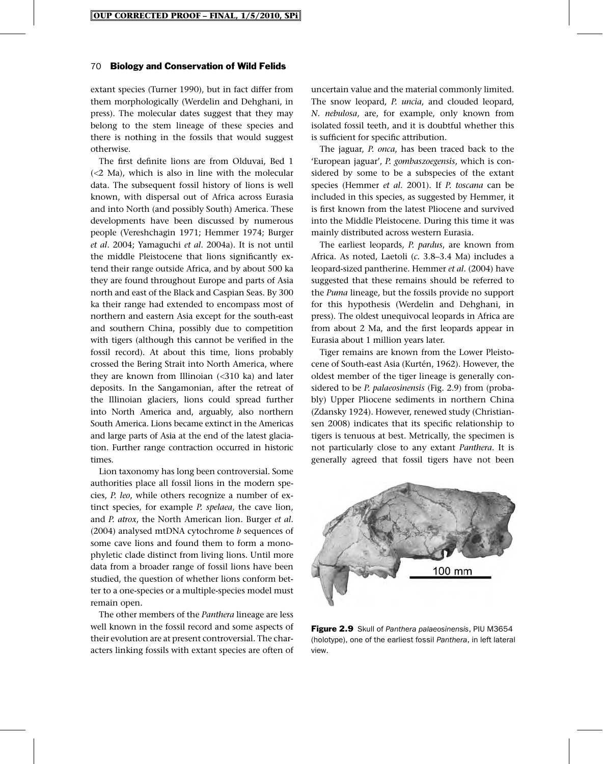extant species (Turner 1990), but in fact differ from them morphologically (Werdelin and Dehghani, in press). The molecular dates suggest that they may belong to the stem lineage of these species and there is nothing in the fossils that would suggest otherwise.

The first definite lions are from Olduvai, Bed 1 (<2 Ma), which is also in line with the molecular data. The subsequent fossil history of lions is well known, with dispersal out of Africa across Eurasia and into North (and possibly South) America. These developments have been discussed by numerous people (Vereshchagin 1971; Hemmer 1974; Burger et al. 2004; Yamaguchi et al. 2004a). It is not until the middle Pleistocene that lions significantly extend their range outside Africa, and by about 500 ka they are found throughout Europe and parts of Asia north and east of the Black and Caspian Seas. By 300 ka their range had extended to encompass most of northern and eastern Asia except for the south-east and southern China, possibly due to competition with tigers (although this cannot be verified in the fossil record). At about this time, lions probably crossed the Bering Strait into North America, where they are known from Illinoian (<310 ka) and later deposits. In the Sangamonian, after the retreat of the Illinoian glaciers, lions could spread further into North America and, arguably, also northern South America. Lions became extinct in the Americas and large parts of Asia at the end of the latest glaciation. Further range contraction occurred in historic times.

Lion taxonomy has long been controversial. Some authorities place all fossil lions in the modern species, P. leo, while others recognize a number of extinct species, for example P. spelaea, the cave lion, and P. atrox, the North American lion. Burger et al. (2004) analysed mtDNA cytochrome b sequences of some cave lions and found them to form a monophyletic clade distinct from living lions. Until more data from a broader range of fossil lions have been studied, the question of whether lions conform better to a one-species or a multiple-species model must remain open.

The other members of the Panthera lineage are less well known in the fossil record and some aspects of their evolution are at present controversial. The characters linking fossils with extant species are often of uncertain value and the material commonly limited. The snow leopard, P. uncia, and clouded leopard, N. nebulosa, are, for example, only known from isolated fossil teeth, and it is doubtful whether this is sufficient for specific attribution.

The jaguar, P. onca, has been traced back to the 'European jaguar', P. gombaszoegensis, which is considered by some to be a subspecies of the extant species (Hemmer et al. 2001). If P. toscana can be included in this species, as suggested by Hemmer, it is first known from the latest Pliocene and survived into the Middle Pleistocene. During this time it was mainly distributed across western Eurasia.

The earliest leopards, P. pardus, are known from Africa. As noted, Laetoli (c. 3.8–3.4 Ma) includes a leopard-sized pantherine. Hemmer et al. (2004) have suggested that these remains should be referred to the Puma lineage, but the fossils provide no support for this hypothesis (Werdelin and Dehghani, in press). The oldest unequivocal leopards in Africa are from about 2 Ma, and the first leopards appear in Eurasia about 1 million years later.

Tiger remains are known from the Lower Pleistocene of South-east Asia (Kurtén, 1962). However, the oldest member of the tiger lineage is generally considered to be P. palaeosinensis (Fig. 2.9) from (probably) Upper Pliocene sediments in northern China (Zdansky 1924). However, renewed study (Christiansen 2008) indicates that its specific relationship to tigers is tenuous at best. Metrically, the specimen is not particularly close to any extant Panthera. It is generally agreed that fossil tigers have not been



Figure 2.9 Skull of Panthera palaeosinensis, PIU M3654 (holotype), one of the earliest fossil Panthera, in left lateral view.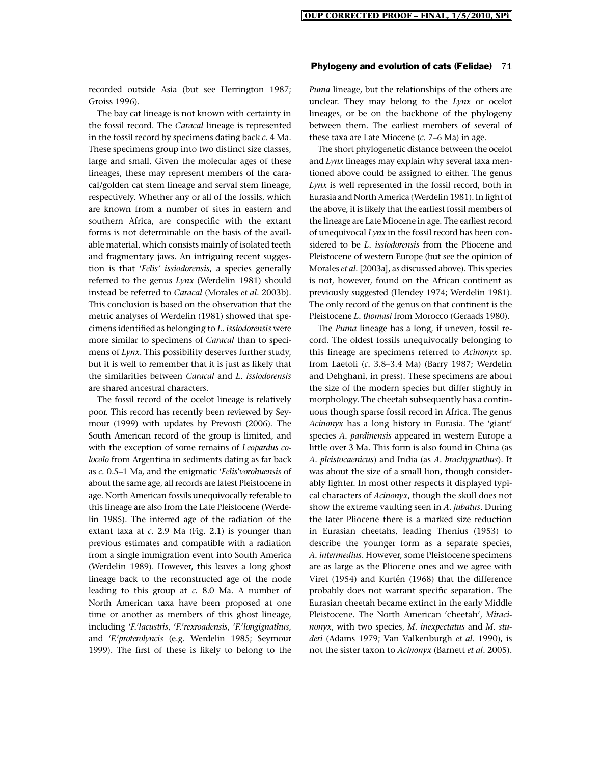## Phylogeny and evolution of cats (Felidae) 71

recorded outside Asia (but see Herrington 1987; Groiss 1996).

The bay cat lineage is not known with certainty in the fossil record. The Caracal lineage is represented in the fossil record by specimens dating back c. 4 Ma. These specimens group into two distinct size classes, large and small. Given the molecular ages of these lineages, these may represent members of the caracal/golden cat stem lineage and serval stem lineage, respectively. Whether any or all of the fossils, which are known from a number of sites in eastern and southern Africa, are conspecific with the extant forms is not determinable on the basis of the available material, which consists mainly of isolated teeth and fragmentary jaws. An intriguing recent suggestion is that 'Felis' issiodorensis, a species generally referred to the genus Lynx (Werdelin 1981) should instead be referred to Caracal (Morales et al. 2003b). This conclusion is based on the observation that the metric analyses of Werdelin (1981) showed that specimens identified as belonging to L. issiodorensis were more similar to specimens of Caracal than to specimens of Lynx. This possibility deserves further study, but it is well to remember that it is just as likely that the similarities between Caracal and L. issiodorensis are shared ancestral characters.

The fossil record of the ocelot lineage is relatively poor. This record has recently been reviewed by Seymour (1999) with updates by Prevosti (2006). The South American record of the group is limited, and with the exception of some remains of Leopardus colocolo from Argentina in sediments dating as far back as c. 0.5–1 Ma, and the enigmatic 'Felis'vorohuensis of about the same age, all records are latest Pleistocene in age. North American fossils unequivocally referable to this lineage are also from the Late Pleistocene (Werdelin 1985). The inferred age of the radiation of the extant taxa at  $c$ . 2.9 Ma (Fig. 2.1) is younger than previous estimates and compatible with a radiation from a single immigration event into South America (Werdelin 1989). However, this leaves a long ghost lineage back to the reconstructed age of the node leading to this group at  $c$ . 8.0 Ma. A number of North American taxa have been proposed at one time or another as members of this ghost lineage, including 'F.'lacustris, 'F.'rexroadensis, 'F.'longignathus, and 'F.'proterolyncis (e.g. Werdelin 1985; Seymour 1999). The first of these is likely to belong to the Puma lineage, but the relationships of the others are unclear. They may belong to the Lynx or ocelot lineages, or be on the backbone of the phylogeny between them. The earliest members of several of these taxa are Late Miocene  $(c. 7–6$  Ma) in age.

The short phylogenetic distance between the ocelot and Lynx lineages may explain why several taxa mentioned above could be assigned to either. The genus Lynx is well represented in the fossil record, both in Eurasia and North America (Werdelin 1981). In light of the above, it is likely that the earliest fossil members of the lineage are Late Miocene in age. The earliest record of unequivocal Lynx in the fossil record has been considered to be L. issiodorensis from the Pliocene and Pleistocene of western Europe (but see the opinion of Morales et al. [2003a], as discussed above). This species is not, however, found on the African continent as previously suggested (Hendey 1974; Werdelin 1981). The only record of the genus on that continent is the Pleistocene L. thomasi from Morocco (Geraads 1980).

The Puma lineage has a long, if uneven, fossil record. The oldest fossils unequivocally belonging to this lineage are specimens referred to Acinonyx sp. from Laetoli (c. 3.8–3.4 Ma) (Barry 1987; Werdelin and Dehghani, in press). These specimens are about the size of the modern species but differ slightly in morphology. The cheetah subsequently has a continuous though sparse fossil record in Africa. The genus Acinonyx has a long history in Eurasia. The 'giant' species A. pardinensis appeared in western Europe a little over 3 Ma. This form is also found in China (as A. pleistocaenicus) and India (as A. brachygnathus). It was about the size of a small lion, though considerably lighter. In most other respects it displayed typical characters of Acinonyx, though the skull does not show the extreme vaulting seen in A. jubatus. During the later Pliocene there is a marked size reduction in Eurasian cheetahs, leading Thenius (1953) to describe the younger form as a separate species, A. intermedius. However, some Pleistocene specimens are as large as the Pliocene ones and we agree with Viret (1954) and Kurtén (1968) that the difference probably does not warrant specific separation. The Eurasian cheetah became extinct in the early Middle Pleistocene. The North American 'cheetah', Miracinonyx, with two species, M. inexpectatus and M. studeri (Adams 1979; Van Valkenburgh et al. 1990), is not the sister taxon to Acinonyx (Barnett et al. 2005).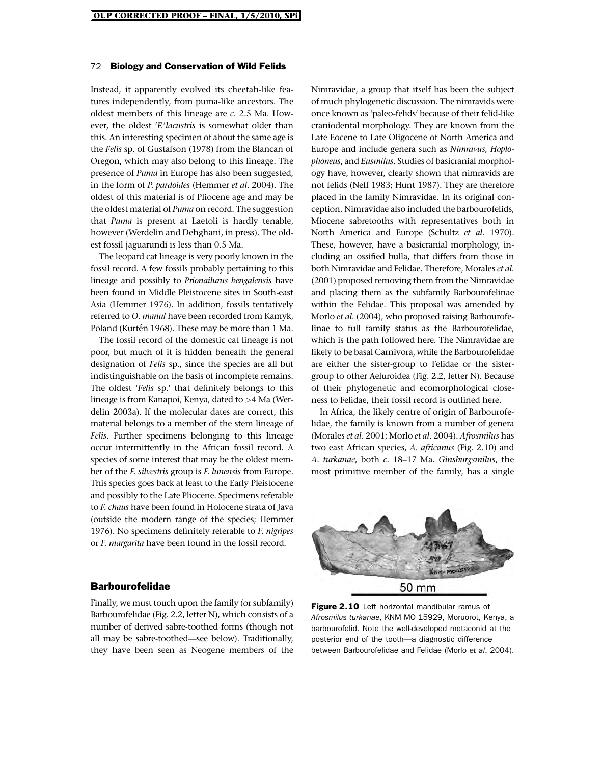Instead, it apparently evolved its cheetah-like features independently, from puma-like ancestors. The oldest members of this lineage are  $c$ . 2.5 Ma. However, the oldest '*F*.'*lacustris* is somewhat older than this. An interesting specimen of about the same age is the Felis sp. of Gustafson (1978) from the Blancan of Oregon, which may also belong to this lineage. The presence of Puma in Europe has also been suggested, in the form of P. pardoides (Hemmer et al. 2004). The oldest of this material is of Pliocene age and may be the oldest material of Puma on record. The suggestion that Puma is present at Laetoli is hardly tenable, however (Werdelin and Dehghani, in press). The oldest fossil jaguarundi is less than 0.5 Ma.

The leopard cat lineage is very poorly known in the fossil record. A few fossils probably pertaining to this lineage and possibly to Prionailurus bengalensis have been found in Middle Pleistocene sites in South-east Asia (Hemmer 1976). In addition, fossils tentatively referred to O. manul have been recorded from Kamyk, Poland (Kurtén 1968). These may be more than 1 Ma.

The fossil record of the domestic cat lineage is not poor, but much of it is hidden beneath the general designation of Felis sp., since the species are all but indistinguishable on the basis of incomplete remains. The oldest 'Felis sp.' that definitely belongs to this lineage is from Kanapoi, Kenya, dated to >4 Ma (Werdelin 2003a). If the molecular dates are correct, this material belongs to a member of the stem lineage of Felis. Further specimens belonging to this lineage occur intermittently in the African fossil record. A species of some interest that may be the oldest member of the F. silvestris group is F. lunensis from Europe. This species goes back at least to the Early Pleistocene and possibly to the Late Pliocene. Specimens referable to F. chaus have been found in Holocene strata of Java (outside the modern range of the species; Hemmer 1976). No specimens definitely referable to F. nigripes or F. margarita have been found in the fossil record.

## Barbourofelidae

Finally, we must touch upon the family (or subfamily) Barbourofelidae (Fig. 2.2, letter N), which consists of a number of derived sabre-toothed forms (though not all may be sabre-toothed—see below). Traditionally, they have been seen as Neogene members of the Nimravidae, a group that itself has been the subject of much phylogenetic discussion. The nimravids were once known as 'paleo-felids' because of their felid-like craniodental morphology. They are known from the Late Eocene to Late Oligocene of North America and Europe and include genera such as Nimravus, Hoplophoneus, and Eusmilus. Studies of basicranial morphology have, however, clearly shown that nimravids are not felids (Neff 1983; Hunt 1987). They are therefore placed in the family Nimravidae. In its original conception, Nimravidae also included the barbourofelids, Miocene sabretooths with representatives both in North America and Europe (Schultz et al. 1970). These, however, have a basicranial morphology, including an ossified bulla, that differs from those in both Nimravidae and Felidae. Therefore, Morales et al. (2001) proposed removing them from the Nimravidae and placing them as the subfamily Barbourofelinae within the Felidae. This proposal was amended by Morlo et al. (2004), who proposed raising Barbourofelinae to full family status as the Barbourofelidae, which is the path followed here. The Nimravidae are likely to be basal Carnivora, while the Barbourofelidae are either the sister-group to Felidae or the sistergroup to other Aeluroidea (Fig. 2.2, letter N). Because of their phylogenetic and ecomorphological closeness to Felidae, their fossil record is outlined here.

In Africa, the likely centre of origin of Barbourofelidae, the family is known from a number of genera (Morales et al. 2001; Morlo et al. 2004). Afrosmilus has two east African species, A. africanus (Fig. 2.10) and A. turkanae, both c. 18–17 Ma. Ginsburgsmilus, the most primitive member of the family, has a single



Figure 2.10 Left horizontal mandibular ramus of Afrosmilus turkanae, KNM MO 15929, Moruorot, Kenya, a barbourofelid. Note the well-developed metaconid at the posterior end of the tooth—a diagnostic difference between Barbourofelidae and Felidae (Morlo et al. 2004).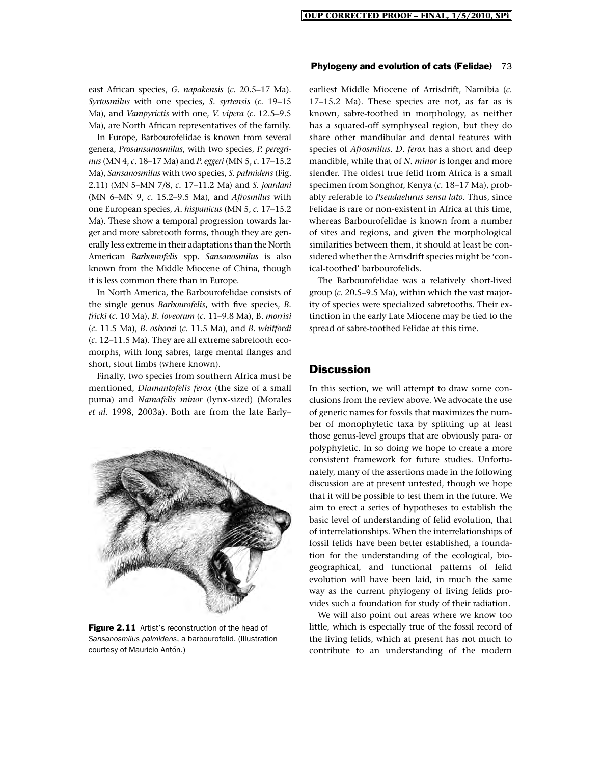east African species, G. napakensis (c. 20.5-17 Ma). Syrtosmilus with one species, S. syrtensis (c. 19–15 Ma), and Vampyrictis with one, V. vipera (c. 12.5–9.5) Ma), are North African representatives of the family.

In Europe, Barbourofelidae is known from several genera, Prosansanosmilus, with two species, P. peregrinus (MN 4, c. 18–17 Ma) and P. eggeri (MN 5, c. 17–15.2 Ma), Sansanosmilus with two species, S. palmidens (Fig. 2.11) (MN 5–MN 7/8, c. 17–11.2 Ma) and S. jourdani (MN 6–MN 9, c. 15.2–9.5 Ma), and Afrosmilus with one European species, A. hispanicus (MN 5, c. 17–15.2 Ma). These show a temporal progression towards larger and more sabretooth forms, though they are generally less extreme in their adaptations than the North American Barbourofelis spp. Sansanosmilus is also known from the Middle Miocene of China, though it is less common there than in Europe.

In North America, the Barbourofelidae consists of the single genus Barbourofelis, with five species, B. fricki (c. 10 Ma), B. loveorum (c. 11–9.8 Ma), B. morrisi (c. 11.5 Ma), B. osborni (c. 11.5 Ma), and B. whitfordi (c. 12–11.5 Ma). They are all extreme sabretooth ecomorphs, with long sabres, large mental flanges and short, stout limbs (where known).

Finally, two species from southern Africa must be mentioned, Diamantofelis ferox (the size of a small puma) and Namafelis minor (lynx-sized) (Morales et al. 1998, 2003a). Both are from the late Early–



Figure 2.11 Artist's reconstruction of the head of Sansanosmilus palmidens, a barbourofelid. (Illustration courtesy of Mauricio Antón.)

earliest Middle Miocene of Arrisdrift, Namibia (c. 17–15.2 Ma). These species are not, as far as is known, sabre-toothed in morphology, as neither has a squared-off symphyseal region, but they do share other mandibular and dental features with species of Afrosmilus. D. ferox has a short and deep mandible, while that of N. minor is longer and more slender. The oldest true felid from Africa is a small specimen from Songhor, Kenya (c. 18–17 Ma), probably referable to Pseudaelurus sensu lato. Thus, since Felidae is rare or non-existent in Africa at this time, whereas Barbourofelidae is known from a number of sites and regions, and given the morphological similarities between them, it should at least be considered whether the Arrisdrift species might be 'conical-toothed' barbourofelids.

The Barbourofelidae was a relatively short-lived group (c. 20.5–9.5 Ma), within which the vast majority of species were specialized sabretooths. Their extinction in the early Late Miocene may be tied to the spread of sabre-toothed Felidae at this time.

## **Discussion**

In this section, we will attempt to draw some conclusions from the review above. We advocate the use of generic names for fossils that maximizes the number of monophyletic taxa by splitting up at least those genus-level groups that are obviously para- or polyphyletic. In so doing we hope to create a more consistent framework for future studies. Unfortunately, many of the assertions made in the following discussion are at present untested, though we hope that it will be possible to test them in the future. We aim to erect a series of hypotheses to establish the basic level of understanding of felid evolution, that of interrelationships. When the interrelationships of fossil felids have been better established, a foundation for the understanding of the ecological, biogeographical, and functional patterns of felid evolution will have been laid, in much the same way as the current phylogeny of living felids provides such a foundation for study of their radiation.

We will also point out areas where we know too little, which is especially true of the fossil record of the living felids, which at present has not much to contribute to an understanding of the modern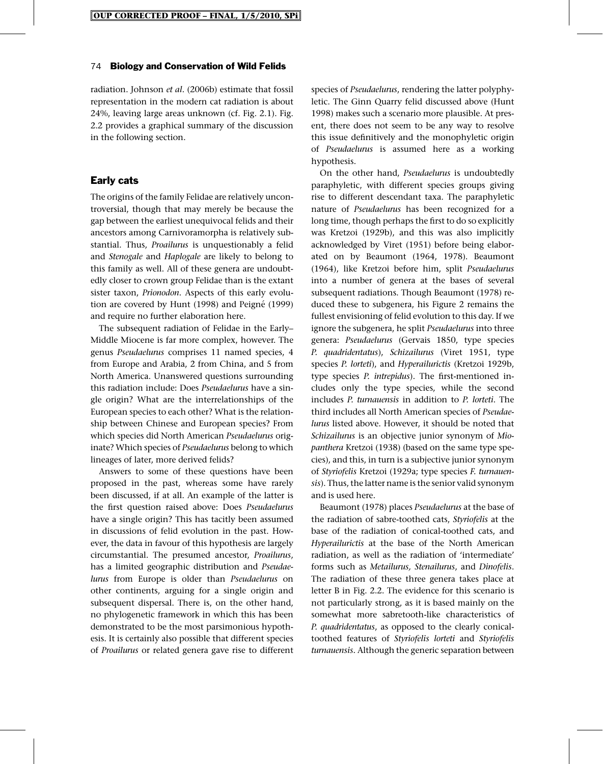radiation. Johnson et al. (2006b) estimate that fossil representation in the modern cat radiation is about 24%, leaving large areas unknown (cf. Fig. 2.1). Fig. 2.2 provides a graphical summary of the discussion in the following section.

## Early cats

The origins of the family Felidae are relatively uncontroversial, though that may merely be because the gap between the earliest unequivocal felids and their ancestors among Carnivoramorpha is relatively substantial. Thus, Proailurus is unquestionably a felid and Stenogale and Haplogale are likely to belong to this family as well. All of these genera are undoubtedly closer to crown group Felidae than is the extant sister taxon, Prionodon. Aspects of this early evolution are covered by Hunt (1998) and Peigné (1999) and require no further elaboration here.

The subsequent radiation of Felidae in the Early– Middle Miocene is far more complex, however. The genus Pseudaelurus comprises 11 named species, 4 from Europe and Arabia, 2 from China, and 5 from North America. Unanswered questions surrounding this radiation include: Does Pseudaelurus have a single origin? What are the interrelationships of the European species to each other? What is the relationship between Chinese and European species? From which species did North American Pseudaelurus originate? Which species of Pseudaelurus belong to which lineages of later, more derived felids?

Answers to some of these questions have been proposed in the past, whereas some have rarely been discussed, if at all. An example of the latter is the first question raised above: Does Pseudaelurus have a single origin? This has tacitly been assumed in discussions of felid evolution in the past. However, the data in favour of this hypothesis are largely circumstantial. The presumed ancestor, Proailurus, has a limited geographic distribution and Pseudaelurus from Europe is older than Pseudaelurus on other continents, arguing for a single origin and subsequent dispersal. There is, on the other hand, no phylogenetic framework in which this has been demonstrated to be the most parsimonious hypothesis. It is certainly also possible that different species of Proailurus or related genera gave rise to different species of Pseudaelurus, rendering the latter polyphyletic. The Ginn Quarry felid discussed above (Hunt 1998) makes such a scenario more plausible. At present, there does not seem to be any way to resolve this issue definitively and the monophyletic origin of Pseudaelurus is assumed here as a working hypothesis.

On the other hand, Pseudaelurus is undoubtedly paraphyletic, with different species groups giving rise to different descendant taxa. The paraphyletic nature of Pseudaelurus has been recognized for a long time, though perhaps the first to do so explicitly was Kretzoi (1929b), and this was also implicitly acknowledged by Viret (1951) before being elaborated on by Beaumont (1964, 1978). Beaumont (1964), like Kretzoi before him, split Pseudaelurus into a number of genera at the bases of several subsequent radiations. Though Beaumont (1978) reduced these to subgenera, his Figure 2 remains the fullest envisioning of felid evolution to this day. If we ignore the subgenera, he split Pseudaelurus into three genera: Pseudaelurus (Gervais 1850, type species P. quadridentatus), Schizailurus (Viret 1951, type species P. lorteti), and Hyperailurictis (Kretzoi 1929b, type species P. intrepidus). The first-mentioned includes only the type species, while the second includes P. turnauensis in addition to P. lorteti. The third includes all North American species of Pseudaelurus listed above. However, it should be noted that Schizailurus is an objective junior synonym of Miopanthera Kretzoi (1938) (based on the same type species), and this, in turn is a subjective junior synonym of Styriofelis Kretzoi (1929a; type species F. turnauensis). Thus, the latter name is the senior valid synonym and is used here.

Beaumont (1978) places Pseudaelurus at the base of the radiation of sabre-toothed cats, Styriofelis at the base of the radiation of conical-toothed cats, and Hyperailurictis at the base of the North American radiation, as well as the radiation of 'intermediate' forms such as Metailurus, Stenailurus, and Dinofelis. The radiation of these three genera takes place at letter B in Fig. 2.2. The evidence for this scenario is not particularly strong, as it is based mainly on the somewhat more sabretooth-like characteristics of P. quadridentatus, as opposed to the clearly conicaltoothed features of Styriofelis lorteti and Styriofelis turnauensis. Although the generic separation between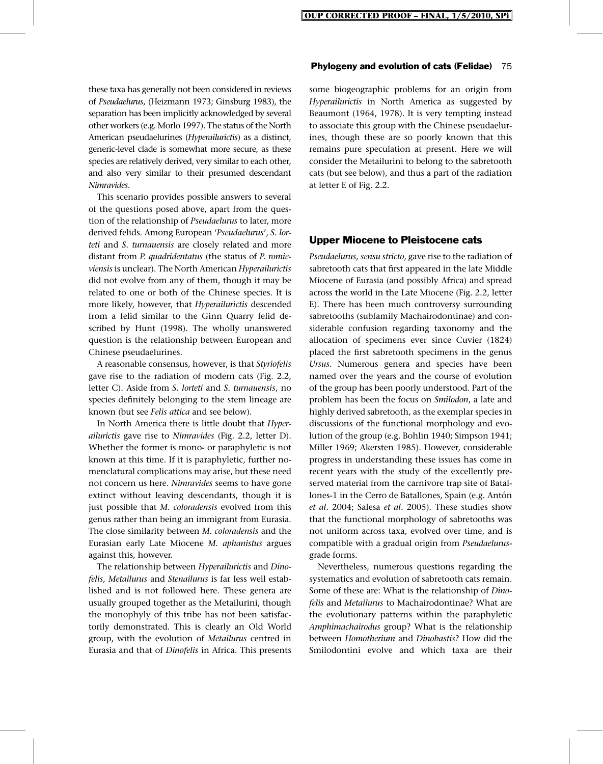these taxa has generally not been considered in reviews of Pseudaelurus, (Heizmann 1973; Ginsburg 1983), the separation has been implicitly acknowledged by several other workers (e.g. Morlo 1997). The status of the North American pseudaelurines (Hyperailurictis) as a distinct, generic-level clade is somewhat more secure, as these species are relatively derived, very similar to each other, and also very similar to their presumed descendant Nimravides.

This scenario provides possible answers to several of the questions posed above, apart from the question of the relationship of Pseudaelurus to later, more derived felids. Among European 'Pseudaelurus', S. lorteti and S. turnauensis are closely related and more distant from P. quadridentatus (the status of P. romieviensis is unclear). The North American Hyperailurictis did not evolve from any of them, though it may be related to one or both of the Chinese species. It is more likely, however, that Hyperailurictis descended from a felid similar to the Ginn Quarry felid described by Hunt (1998). The wholly unanswered question is the relationship between European and Chinese pseudaelurines.

A reasonable consensus, however, is that Styriofelis gave rise to the radiation of modern cats (Fig. 2.2, letter C). Aside from S. lorteti and S. turnauensis, no species definitely belonging to the stem lineage are known (but see Felis attica and see below).

In North America there is little doubt that Hyperailurictis gave rise to Nimravides (Fig. 2.2, letter D). Whether the former is mono- or paraphyletic is not known at this time. If it is paraphyletic, further nomenclatural complications may arise, but these need not concern us here. Nimravides seems to have gone extinct without leaving descendants, though it is just possible that M. coloradensis evolved from this genus rather than being an immigrant from Eurasia. The close similarity between M. coloradensis and the Eurasian early Late Miocene M. aphanistus argues against this, however.

The relationship between Hyperailurictis and Dinofelis, Metailurus and Stenailurus is far less well established and is not followed here. These genera are usually grouped together as the Metailurini, though the monophyly of this tribe has not been satisfactorily demonstrated. This is clearly an Old World group, with the evolution of Metailurus centred in Eurasia and that of Dinofelis in Africa. This presents some biogeographic problems for an origin from Hyperailurictis in North America as suggested by Beaumont (1964, 1978). It is very tempting instead to associate this group with the Chinese pseudaelurines, though these are so poorly known that this remains pure speculation at present. Here we will consider the Metailurini to belong to the sabretooth cats (but see below), and thus a part of the radiation at letter E of Fig. 2.2.

## Upper Miocene to Pleistocene cats

Pseudaelurus, sensu stricto, gave rise to the radiation of sabretooth cats that first appeared in the late Middle Miocene of Eurasia (and possibly Africa) and spread across the world in the Late Miocene (Fig. 2.2, letter E). There has been much controversy surrounding sabretooths (subfamily Machairodontinae) and considerable confusion regarding taxonomy and the allocation of specimens ever since Cuvier (1824) placed the first sabretooth specimens in the genus Ursus. Numerous genera and species have been named over the years and the course of evolution of the group has been poorly understood. Part of the problem has been the focus on Smilodon, a late and highly derived sabretooth, as the exemplar species in discussions of the functional morphology and evolution of the group (e.g. Bohlin 1940; Simpson 1941; Miller 1969; Akersten 1985). However, considerable progress in understanding these issues has come in recent years with the study of the excellently preserved material from the carnivore trap site of Batallones-1 in the Cerro de Batallones, Spain (e.g. Antón et al. 2004; Salesa et al. 2005). These studies show that the functional morphology of sabretooths was not uniform across taxa, evolved over time, and is compatible with a gradual origin from Pseudaelurusgrade forms.

Nevertheless, numerous questions regarding the systematics and evolution of sabretooth cats remain. Some of these are: What is the relationship of Dinofelis and Metailurus to Machairodontinae? What are the evolutionary patterns within the paraphyletic Amphimachairodus group? What is the relationship between Homotherium and Dinobastis? How did the Smilodontini evolve and which taxa are their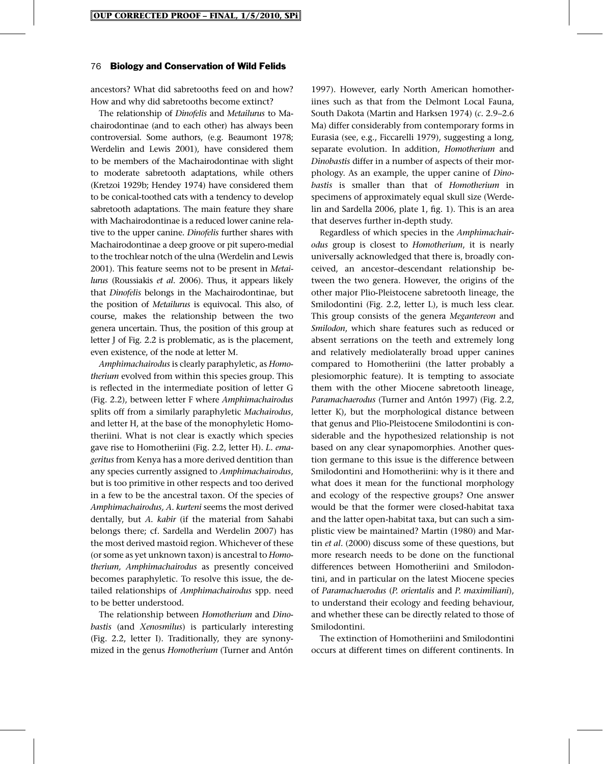ancestors? What did sabretooths feed on and how? How and why did sabretooths become extinct?

The relationship of Dinofelis and Metailurus to Machairodontinae (and to each other) has always been controversial. Some authors, (e.g. Beaumont 1978; Werdelin and Lewis 2001), have considered them to be members of the Machairodontinae with slight to moderate sabretooth adaptations, while others (Kretzoi 1929b; Hendey 1974) have considered them to be conical-toothed cats with a tendency to develop sabretooth adaptations. The main feature they share with Machairodontinae is a reduced lower canine relative to the upper canine. Dinofelis further shares with Machairodontinae a deep groove or pit supero-medial to the trochlear notch of the ulna (Werdelin and Lewis 2001). This feature seems not to be present in Metailurus (Roussiakis et al. 2006). Thus, it appears likely that Dinofelis belongs in the Machairodontinae, but the position of Metailurus is equivocal. This also, of course, makes the relationship between the two genera uncertain. Thus, the position of this group at letter J of Fig. 2.2 is problematic, as is the placement, even existence, of the node at letter M.

Amphimachairodus is clearly paraphyletic, as Homotherium evolved from within this species group. This is reflected in the intermediate position of letter G (Fig. 2.2), between letter F where Amphimachairodus splits off from a similarly paraphyletic Machairodus, and letter H, at the base of the monophyletic Homotheriini. What is not clear is exactly which species gave rise to Homotheriini (Fig. 2.2, letter H). L. emageritus from Kenya has a more derived dentition than any species currently assigned to Amphimachairodus, but is too primitive in other respects and too derived in a few to be the ancestral taxon. Of the species of Amphimachairodus, A. kurteni seems the most derived dentally, but A. kabir (if the material from Sahabi belongs there; cf. Sardella and Werdelin 2007) has the most derived mastoid region. Whichever of these (or some as yet unknown taxon) is ancestral to Homotherium, Amphimachairodus as presently conceived becomes paraphyletic. To resolve this issue, the detailed relationships of Amphimachairodus spp. need to be better understood.

The relationship between Homotherium and Dinobastis (and Xenosmilus) is particularly interesting (Fig. 2.2, letter I). Traditionally, they are synonymized in the genus Homotherium (Turner and Antón 1997). However, early North American homotheriines such as that from the Delmont Local Fauna, South Dakota (Martin and Harksen 1974) (c. 2.9–2.6 Ma) differ considerably from contemporary forms in Eurasia (see, e.g., Ficcarelli 1979), suggesting a long, separate evolution. In addition, Homotherium and Dinobastis differ in a number of aspects of their morphology. As an example, the upper canine of Dinobastis is smaller than that of Homotherium in specimens of approximately equal skull size (Werdelin and Sardella 2006, plate 1, fig. 1). This is an area that deserves further in-depth study.

Regardless of which species in the Amphimachairodus group is closest to Homotherium, it is nearly universally acknowledged that there is, broadly conceived, an ancestor–descendant relationship between the two genera. However, the origins of the other major Plio-Pleistocene sabretooth lineage, the Smilodontini (Fig. 2.2, letter L), is much less clear. This group consists of the genera Megantereon and Smilodon, which share features such as reduced or absent serrations on the teeth and extremely long and relatively mediolaterally broad upper canines compared to Homotheriini (the latter probably a plesiomorphic feature). It is tempting to associate them with the other Miocene sabretooth lineage, Paramachaerodus (Turner and Antón 1997) (Fig. 2.2, letter K), but the morphological distance between that genus and Plio-Pleistocene Smilodontini is considerable and the hypothesized relationship is not based on any clear synapomorphies. Another question germane to this issue is the difference between Smilodontini and Homotheriini: why is it there and what does it mean for the functional morphology and ecology of the respective groups? One answer would be that the former were closed-habitat taxa and the latter open-habitat taxa, but can such a simplistic view be maintained? Martin (1980) and Martin et al. (2000) discuss some of these questions, but more research needs to be done on the functional differences between Homotheriini and Smilodontini, and in particular on the latest Miocene species of Paramachaerodus (P. orientalis and P. maximiliani), to understand their ecology and feeding behaviour, and whether these can be directly related to those of Smilodontini.

The extinction of Homotheriini and Smilodontini occurs at different times on different continents. In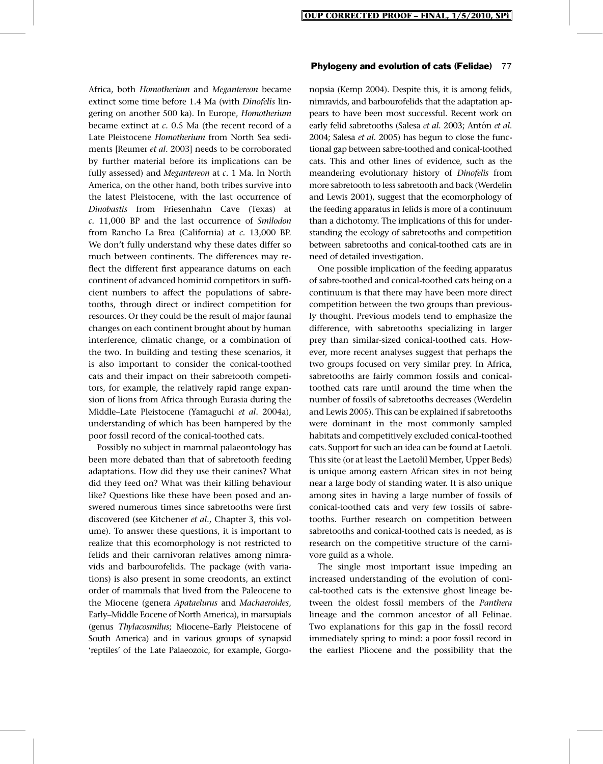Africa, both Homotherium and Megantereon became extinct some time before 1.4 Ma (with Dinofelis lingering on another 500 ka). In Europe, Homotherium became extinct at  $c$ . 0.5 Ma (the recent record of a Late Pleistocene Homotherium from North Sea sediments [Reumer et al. 2003] needs to be corroborated by further material before its implications can be fully assessed) and Megantereon at c. 1 Ma. In North America, on the other hand, both tribes survive into the latest Pleistocene, with the last occurrence of Dinobastis from Friesenhahn Cave (Texas) at c. 11,000 BP and the last occurrence of Smilodon from Rancho La Brea (California) at c. 13,000 BP. We don't fully understand why these dates differ so much between continents. The differences may reflect the different first appearance datums on each continent of advanced hominid competitors in sufficient numbers to affect the populations of sabretooths, through direct or indirect competition for resources. Or they could be the result of major faunal changes on each continent brought about by human interference, climatic change, or a combination of the two. In building and testing these scenarios, it is also important to consider the conical-toothed cats and their impact on their sabretooth competitors, for example, the relatively rapid range expansion of lions from Africa through Eurasia during the Middle–Late Pleistocene (Yamaguchi et al. 2004a), understanding of which has been hampered by the poor fossil record of the conical-toothed cats.

Possibly no subject in mammal palaeontology has been more debated than that of sabretooth feeding adaptations. How did they use their canines? What did they feed on? What was their killing behaviour like? Questions like these have been posed and answered numerous times since sabretooths were first discovered (see Kitchener et al., Chapter 3, this volume). To answer these questions, it is important to realize that this ecomorphology is not restricted to felids and their carnivoran relatives among nimravids and barbourofelids. The package (with variations) is also present in some creodonts, an extinct order of mammals that lived from the Paleocene to the Miocene (genera Apataelurus and Machaeroides, Early–Middle Eocene of North America), in marsupials (genus Thylacosmilus; Miocene–Early Pleistocene of South America) and in various groups of synapsid 'reptiles' of the Late Palaeozoic, for example, Gorgonopsia (Kemp 2004). Despite this, it is among felids, nimravids, and barbourofelids that the adaptation appears to have been most successful. Recent work on early felid sabretooths (Salesa et al. 2003; Antón et al. 2004; Salesa et al. 2005) has begun to close the functional gap between sabre-toothed and conical-toothed cats. This and other lines of evidence, such as the meandering evolutionary history of Dinofelis from more sabretooth to less sabretooth and back (Werdelin and Lewis 2001), suggest that the ecomorphology of the feeding apparatus in felids is more of a continuum than a dichotomy. The implications of this for understanding the ecology of sabretooths and competition between sabretooths and conical-toothed cats are in need of detailed investigation.

One possible implication of the feeding apparatus of sabre-toothed and conical-toothed cats being on a continuum is that there may have been more direct competition between the two groups than previously thought. Previous models tend to emphasize the difference, with sabretooths specializing in larger prey than similar-sized conical-toothed cats. However, more recent analyses suggest that perhaps the two groups focused on very similar prey. In Africa, sabretooths are fairly common fossils and conicaltoothed cats rare until around the time when the number of fossils of sabretooths decreases (Werdelin and Lewis 2005). This can be explained if sabretooths were dominant in the most commonly sampled habitats and competitively excluded conical-toothed cats. Support for such an idea can be found at Laetoli. This site (or at least the Laetolil Member, Upper Beds) is unique among eastern African sites in not being near a large body of standing water. It is also unique among sites in having a large number of fossils of conical-toothed cats and very few fossils of sabretooths. Further research on competition between sabretooths and conical-toothed cats is needed, as is research on the competitive structure of the carnivore guild as a whole.

The single most important issue impeding an increased understanding of the evolution of conical-toothed cats is the extensive ghost lineage between the oldest fossil members of the Panthera lineage and the common ancestor of all Felinae. Two explanations for this gap in the fossil record immediately spring to mind: a poor fossil record in the earliest Pliocene and the possibility that the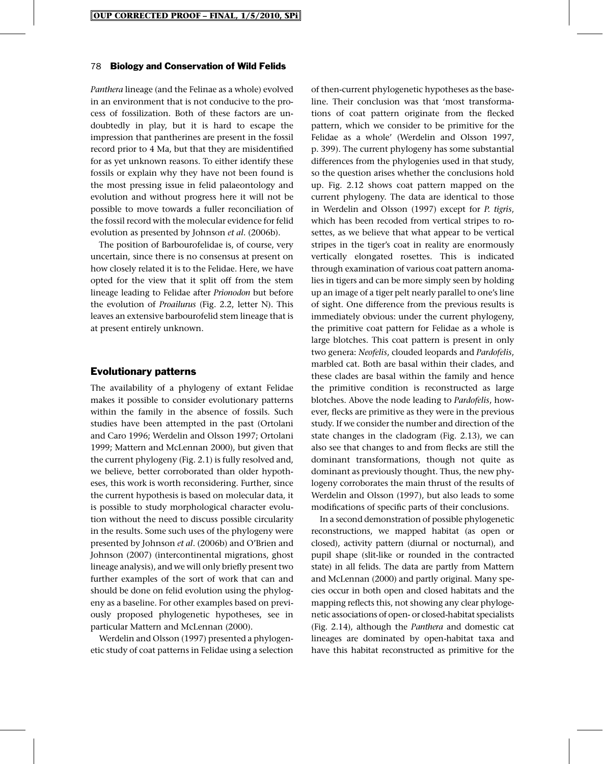Panthera lineage (and the Felinae as a whole) evolved in an environment that is not conducive to the process of fossilization. Both of these factors are undoubtedly in play, but it is hard to escape the impression that pantherines are present in the fossil record prior to 4 Ma, but that they are misidentified for as yet unknown reasons. To either identify these fossils or explain why they have not been found is the most pressing issue in felid palaeontology and evolution and without progress here it will not be possible to move towards a fuller reconciliation of the fossil record with the molecular evidence for felid evolution as presented by Johnson et al. (2006b).

The position of Barbourofelidae is, of course, very uncertain, since there is no consensus at present on how closely related it is to the Felidae. Here, we have opted for the view that it split off from the stem lineage leading to Felidae after Prionodon but before the evolution of Proailurus (Fig. 2.2, letter N). This leaves an extensive barbourofelid stem lineage that is at present entirely unknown.

## Evolutionary patterns

The availability of a phylogeny of extant Felidae makes it possible to consider evolutionary patterns within the family in the absence of fossils. Such studies have been attempted in the past (Ortolani and Caro 1996; Werdelin and Olsson 1997; Ortolani 1999; Mattern and McLennan 2000), but given that the current phylogeny (Fig. 2.1) is fully resolved and, we believe, better corroborated than older hypotheses, this work is worth reconsidering. Further, since the current hypothesis is based on molecular data, it is possible to study morphological character evolution without the need to discuss possible circularity in the results. Some such uses of the phylogeny were presented by Johnson et al. (2006b) and O'Brien and Johnson (2007) (intercontinental migrations, ghost lineage analysis), and we will only briefly present two further examples of the sort of work that can and should be done on felid evolution using the phylogeny as a baseline. For other examples based on previously proposed phylogenetic hypotheses, see in particular Mattern and McLennan (2000).

Werdelin and Olsson (1997) presented a phylogenetic study of coat patterns in Felidae using a selection of then-current phylogenetic hypotheses as the baseline. Their conclusion was that 'most transformations of coat pattern originate from the flecked pattern, which we consider to be primitive for the Felidae as a whole' (Werdelin and Olsson 1997, p. 399). The current phylogeny has some substantial differences from the phylogenies used in that study, so the question arises whether the conclusions hold up. Fig. 2.12 shows coat pattern mapped on the current phylogeny. The data are identical to those in Werdelin and Olsson (1997) except for P. tigris, which has been recoded from vertical stripes to rosettes, as we believe that what appear to be vertical stripes in the tiger's coat in reality are enormously vertically elongated rosettes. This is indicated through examination of various coat pattern anomalies in tigers and can be more simply seen by holding up an image of a tiger pelt nearly parallel to one's line of sight. One difference from the previous results is immediately obvious: under the current phylogeny, the primitive coat pattern for Felidae as a whole is large blotches. This coat pattern is present in only two genera: Neofelis, clouded leopards and Pardofelis, marbled cat. Both are basal within their clades, and these clades are basal within the family and hence the primitive condition is reconstructed as large blotches. Above the node leading to Pardofelis, however, flecks are primitive as they were in the previous study. If we consider the number and direction of the state changes in the cladogram (Fig. 2.13), we can also see that changes to and from flecks are still the dominant transformations, though not quite as dominant as previously thought. Thus, the new phylogeny corroborates the main thrust of the results of Werdelin and Olsson (1997), but also leads to some modifications of specific parts of their conclusions.

In a second demonstration of possible phylogenetic reconstructions, we mapped habitat (as open or closed), activity pattern (diurnal or nocturnal), and pupil shape (slit-like or rounded in the contracted state) in all felids. The data are partly from Mattern and McLennan (2000) and partly original. Many species occur in both open and closed habitats and the mapping reflects this, not showing any clear phylogenetic associations of open- or closed-habitat specialists (Fig. 2.14), although the Panthera and domestic cat lineages are dominated by open-habitat taxa and have this habitat reconstructed as primitive for the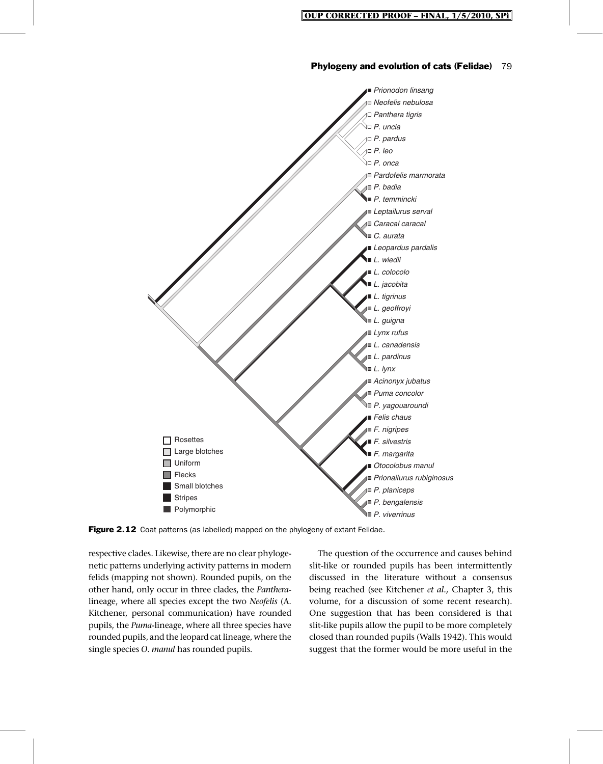## Phylogeny and evolution of cats (Felidae) 79



Figure 2.12 Coat patterns (as labelled) mapped on the phylogeny of extant Felidae.

respective clades. Likewise, there are no clear phylogenetic patterns underlying activity patterns in modern felids (mapping not shown). Rounded pupils, on the other hand, only occur in three clades, the Pantheralineage, where all species except the two Neofelis (A. Kitchener, personal communication) have rounded pupils, the Puma-lineage, where all three species have rounded pupils, and the leopard cat lineage, where the single species O. manul has rounded pupils.

The question of the occurrence and causes behind slit-like or rounded pupils has been intermittently discussed in the literature without a consensus being reached (see Kitchener et al., Chapter 3, this volume, for a discussion of some recent research). One suggestion that has been considered is that slit-like pupils allow the pupil to be more completely closed than rounded pupils (Walls 1942). This would suggest that the former would be more useful in the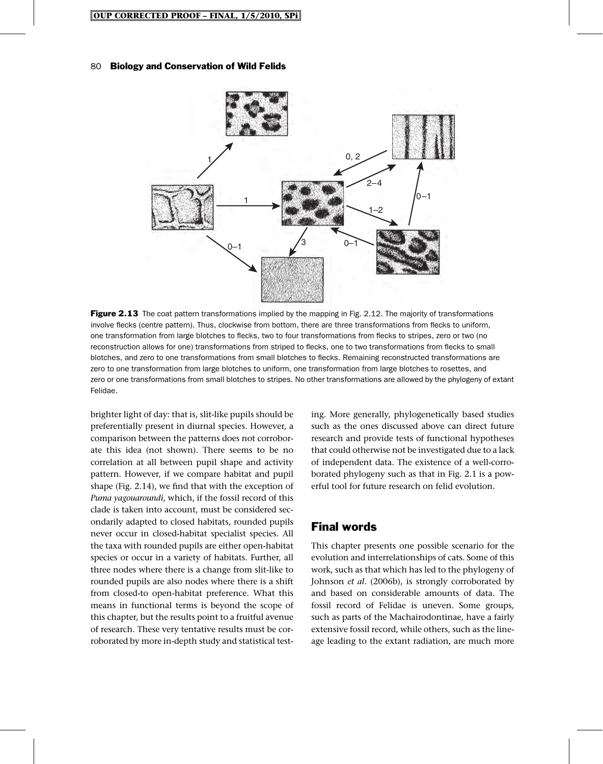

**Figure 2.13** The coat pattern transformations implied by the mapping in Fig. 2.12. The majority of transformations involve flecks (centre pattern). Thus, clockwise from bottom, there are three transformations from flecks to uniform, one transformation from large blotches to flecks, two to four transformations from flecks to stripes, zero or two (no reconstruction allows for one) transformations from striped to flecks, one to two transformations from flecks to small blotches, and zero to one transformations from small blotches to flecks. Remaining reconstructed transformations are zero to one transformation from large blotches to uniform, one transformation from large blotches to rosettes, and zero or one transformations from small blotches to stripes. No other transformations are allowed by the phylogeny of extant Felidae.

brighter light of day: that is, slit-like pupils should be preferentially present in diurnal species. However, a comparison between the patterns does not corroborate this idea (not shown). There seems to be no correlation at all between pupil shape and activity pattern. However, if we compare habitat and pupil shape (Fig. 2.14), we find that with the exception of Puma yagouaroundi, which, if the fossil record of this clade is taken into account, must be considered secondarily adapted to closed habitats, rounded pupils never occur in closed-habitat specialist species. All the taxa with rounded pupils are either open-habitat species or occur in a variety of habitats. Further, all three nodes where there is a change from slit-like to rounded pupils are also nodes where there is a shift from closed-to open-habitat preference. What this means in functional terms is beyond the scope of this chapter, but the results point to a fruitful avenue of research. These very tentative results must be corroborated by more in-depth study and statistical testing. More generally, phylogenetically based studies such as the ones discussed above can direct future research and provide tests of functional hypotheses that could otherwise not be investigated due to a lack of independent data. The existence of a well-corroborated phylogeny such as that in Fig. 2.1 is a powerful tool for future research on felid evolution.

# Final words

This chapter presents one possible scenario for the evolution and interrelationships of cats. Some of this work, such as that which has led to the phylogeny of Johnson et al. (2006b), is strongly corroborated by and based on considerable amounts of data. The fossil record of Felidae is uneven. Some groups, such as parts of the Machairodontinae, have a fairly extensive fossil record, while others, such as the lineage leading to the extant radiation, are much more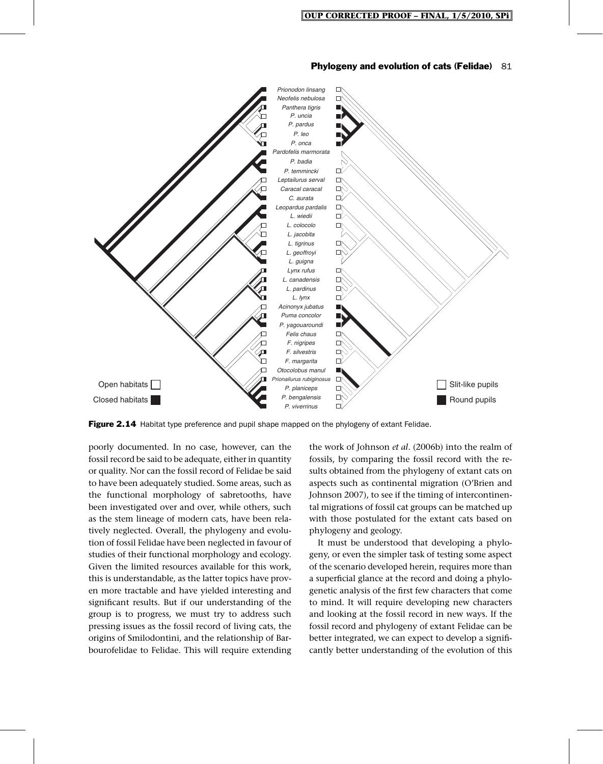#### Phylogeny and evolution of cats (Felidae) 81



Figure 2.14 Habitat type preference and pupil shape mapped on the phylogeny of extant Felidae.

poorly documented. In no case, however, can the fossil record be said to be adequate, either in quantity or quality. Nor can the fossil record of Felidae be said to have been adequately studied. Some areas, such as the functional morphology of sabretooths, have been investigated over and over, while others, such as the stem lineage of modern cats, have been relatively neglected. Overall, the phylogeny and evolution of fossil Felidae have been neglected in favour of studies of their functional morphology and ecology. Given the limited resources available for this work, this is understandable, as the latter topics have proven more tractable and have yielded interesting and significant results. But if our understanding of the group is to progress, we must try to address such pressing issues as the fossil record of living cats, the origins of Smilodontini, and the relationship of Barbourofelidae to Felidae. This will require extending the work of Johnson et al. (2006b) into the realm of fossils, by comparing the fossil record with the results obtained from the phylogeny of extant cats on aspects such as continental migration (O'Brien and Johnson 2007), to see if the timing of intercontinental migrations of fossil cat groups can be matched up with those postulated for the extant cats based on phylogeny and geology.

It must be understood that developing a phylogeny, or even the simpler task of testing some aspect of the scenario developed herein, requires more than a superficial glance at the record and doing a phylogenetic analysis of the first few characters that come to mind. It will require developing new characters and looking at the fossil record in new ways. If the fossil record and phylogeny of extant Felidae can be better integrated, we can expect to develop a significantly better understanding of the evolution of this